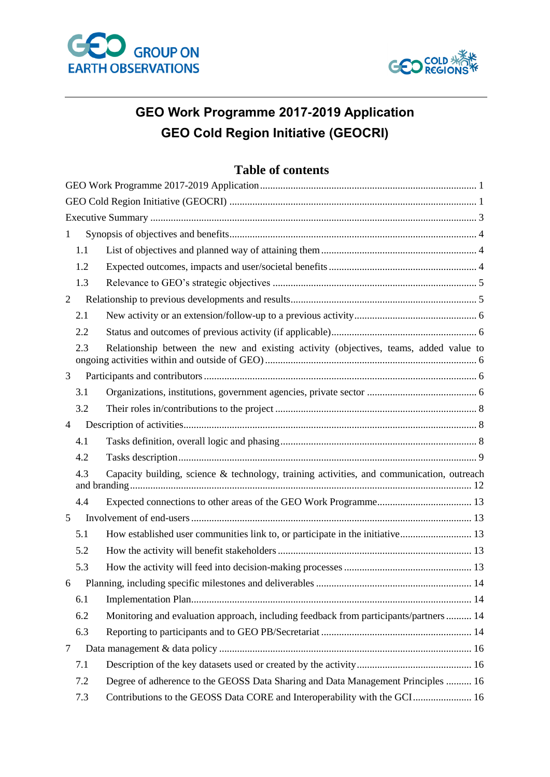



# <span id="page-0-0"></span>**GEO Work Programme 2017-2019 Application GEO Cold Region Initiative (GEOCRI)**

# **Table of contents**

<span id="page-0-1"></span>

| $\mathbf{1}$   |     |                                                                                           |
|----------------|-----|-------------------------------------------------------------------------------------------|
|                | 1.1 |                                                                                           |
|                | 1.2 |                                                                                           |
|                | 1.3 |                                                                                           |
| $\overline{2}$ |     |                                                                                           |
|                | 2.1 |                                                                                           |
|                | 2.2 |                                                                                           |
|                | 2.3 | Relationship between the new and existing activity (objectives, teams, added value to     |
| 3              |     |                                                                                           |
|                | 3.1 |                                                                                           |
|                | 3.2 |                                                                                           |
| 4              |     |                                                                                           |
|                | 4.1 |                                                                                           |
|                | 4.2 |                                                                                           |
|                | 4.3 | Capacity building, science & technology, training activities, and communication, outreach |
|                | 4.4 |                                                                                           |
| 5              |     |                                                                                           |
|                | 5.1 | How established user communities link to, or participate in the initiative 13             |
|                | 5.2 |                                                                                           |
|                | 5.3 |                                                                                           |
| 6              |     |                                                                                           |
|                | 6.1 |                                                                                           |
|                | 6.2 | Monitoring and evaluation approach, including feedback from participants/partners 14      |
|                | 6.3 |                                                                                           |
| 7              |     |                                                                                           |
|                | 7.1 |                                                                                           |
|                | 7.2 | Degree of adherence to the GEOSS Data Sharing and Data Management Principles  16          |
|                | 7.3 | Contributions to the GEOSS Data CORE and Interoperability with the GCI 16                 |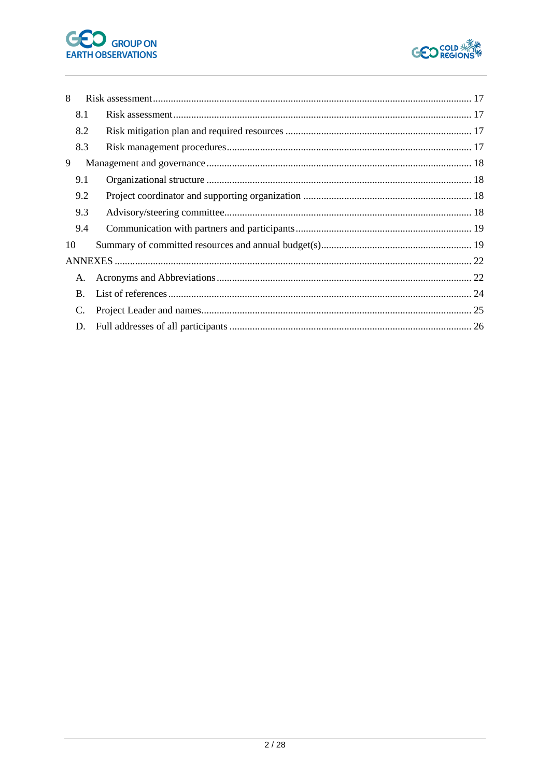



| 8  |     |  |
|----|-----|--|
|    | 8.1 |  |
|    | 8.2 |  |
|    | 8.3 |  |
| 9  |     |  |
|    | 9.1 |  |
|    | 9.2 |  |
|    | 9.3 |  |
|    | 9.4 |  |
| 10 |     |  |
|    |     |  |
| А. |     |  |
| B. |     |  |
| C. |     |  |
| D. |     |  |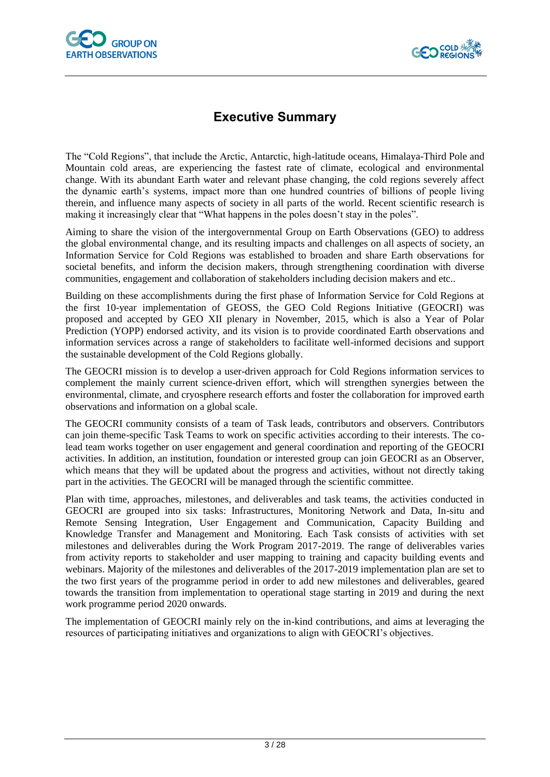



# **Executive Summary**

<span id="page-2-0"></span>The "Cold Regions", that include the Arctic, Antarctic, high-latitude oceans, Himalaya-Third Pole and Mountain cold areas, are experiencing the fastest rate of climate, ecological and environmental change. With its abundant Earth water and relevant phase changing, the cold regions severely affect the dynamic earth's systems, impact more than one hundred countries of billions of people living therein, and influence many aspects of society in all parts of the world. Recent scientific research is making it increasingly clear that "What happens in the poles doesn't stay in the poles".

Aiming to share the vision of the intergovernmental Group on Earth Observations (GEO) to address the global environmental change, and its resulting impacts and challenges on all aspects of society, an Information Service for Cold Regions was established to broaden and share Earth observations for societal benefits, and inform the decision makers, through strengthening coordination with diverse communities, engagement and collaboration of stakeholders including decision makers and etc..

Building on these accomplishments during the first phase of Information Service for Cold Regions at the first 10-year implementation of GEOSS, the GEO Cold Regions Initiative (GEOCRI) was proposed and accepted by GEO XII plenary in November, 2015, which is also a Year of Polar Prediction (YOPP) endorsed activity, and its vision is to provide coordinated Earth observations and information services across a range of stakeholders to facilitate well-informed decisions and support the sustainable development of the Cold Regions globally.

The GEOCRI mission is to develop a user-driven approach for Cold Regions information services to complement the mainly current science-driven effort, which will strengthen synergies between the environmental, climate, and cryosphere research efforts and foster the collaboration for improved earth observations and information on a global scale.

The GEOCRI community consists of a team of Task leads, contributors and observers. Contributors can join theme-specific Task Teams to work on specific activities according to their interests. The colead team works together on user engagement and general coordination and reporting of the GEOCRI activities. In addition, an institution, foundation or interested group can join GEOCRI as an Observer, which means that they will be updated about the progress and activities, without not directly taking part in the activities. The GEOCRI will be managed through the scientific committee.

Plan with time, approaches, milestones, and deliverables and task teams, the activities conducted in GEOCRI are grouped into six tasks: Infrastructures, Monitoring Network and Data, In-situ and Remote Sensing Integration, User Engagement and Communication, Capacity Building and Knowledge Transfer and Management and Monitoring. Each Task consists of activities with set milestones and deliverables during the Work Program 2017-2019. The range of deliverables varies from activity reports to stakeholder and user mapping to training and capacity building events and webinars. Majority of the milestones and deliverables of the 2017-2019 implementation plan are set to the two first years of the programme period in order to add new milestones and deliverables, geared towards the transition from implementation to operational stage starting in 2019 and during the next work programme period 2020 onwards.

The implementation of GEOCRI mainly rely on the in-kind contributions, and aims at leveraging the resources of participating initiatives and organizations to align with GEOCRI's objectives.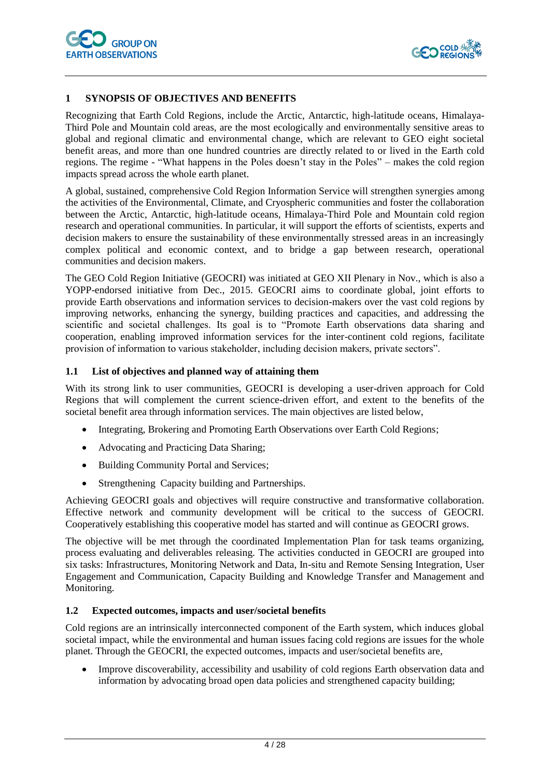

#### <span id="page-3-0"></span>**1 SYNOPSIS OF OBJECTIVES AND BENEFITS**

Recognizing that Earth Cold Regions, include the Arctic, Antarctic, high-latitude oceans, Himalaya-Third Pole and Mountain cold areas, are the most ecologically and environmentally sensitive areas to global and regional climatic and environmental change, which are relevant to GEO eight societal benefit areas, and more than one hundred countries are directly related to or lived in the Earth cold regions. The regime - "What happens in the Poles doesn't stay in the Poles" – makes the cold region impacts spread across the whole earth planet.

A global, sustained, comprehensive Cold Region Information Service will strengthen synergies among the activities of the Environmental, Climate, and Cryospheric communities and foster the collaboration between the Arctic, Antarctic, high-latitude oceans, Himalaya-Third Pole and Mountain cold region research and operational communities. In particular, it will support the efforts of scientists, experts and decision makers to ensure the sustainability of these environmentally stressed areas in an increasingly complex political and economic context, and to bridge a gap between research, operational communities and decision makers.

The GEO Cold Region Initiative (GEOCRI) was initiated at GEO XII Plenary in Nov., which is also a YOPP-endorsed initiative from Dec., 2015. GEOCRI aims to coordinate global, joint efforts to provide Earth observations and information services to decision-makers over the vast cold regions by improving networks, enhancing the synergy, building practices and capacities, and addressing the scientific and societal challenges. Its goal is to "Promote Earth observations data sharing and cooperation, enabling improved information services for the inter-continent cold regions, facilitate provision of information to various stakeholder, including decision makers, private sectors".

#### <span id="page-3-1"></span>**1.1 List of objectives and planned way of attaining them**

With its strong link to user communities, GEOCRI is developing a user-driven approach for Cold Regions that will complement the current science-driven effort, and extent to the benefits of the societal benefit area through information services. The main objectives are listed below,

- Integrating, Brokering and Promoting Earth Observations over Earth Cold Regions;
- Advocating and Practicing Data Sharing;
- Building Community Portal and Services;
- Strengthening Capacity building and Partnerships.

Achieving GEOCRI goals and objectives will require constructive and transformative collaboration. Effective network and community development will be critical to the success of GEOCRI. Cooperatively establishing this cooperative model has started and will continue as GEOCRI grows.

The objective will be met through the coordinated Implementation Plan for task teams organizing, process evaluating and deliverables releasing. The activities conducted in GEOCRI are grouped into six tasks: Infrastructures, Monitoring Network and Data, In-situ and Remote Sensing Integration, User Engagement and Communication, Capacity Building and Knowledge Transfer and Management and Monitoring.

#### <span id="page-3-2"></span>**1.2 Expected outcomes, impacts and user/societal benefits**

Cold regions are an intrinsically interconnected component of the Earth system, which induces global societal impact, while the environmental and human issues facing cold regions are issues for the whole planet. Through the GEOCRI, the expected outcomes, impacts and user/societal benefits are,

• Improve discoverability, accessibility and usability of cold regions Earth observation data and information by advocating broad open data policies and strengthened capacity building;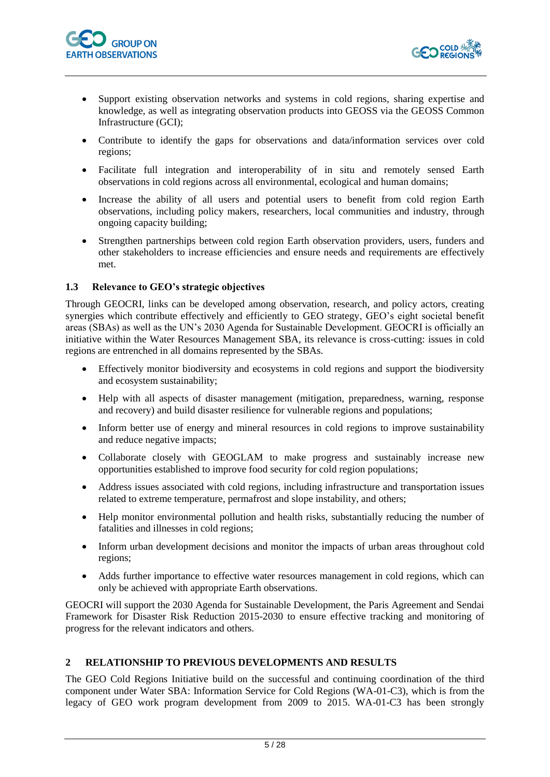



- Support existing observation networks and systems in cold regions, sharing expertise and knowledge, as well as integrating observation products into GEOSS via the GEOSS Common Infrastructure (GCI);
- Contribute to identify the gaps for observations and data/information services over cold regions;
- Facilitate full integration and interoperability of in situ and remotely sensed Earth observations in cold regions across all environmental, ecological and human domains;
- Increase the ability of all users and potential users to benefit from cold region Earth observations, including policy makers, researchers, local communities and industry, through ongoing capacity building;
- Strengthen partnerships between cold region Earth observation providers, users, funders and other stakeholders to increase efficiencies and ensure needs and requirements are effectively met.

#### <span id="page-4-0"></span>**1.3 Relevance to GEO's strategic objectives**

Through GEOCRI, links can be developed among observation, research, and policy actors, creating synergies which contribute effectively and efficiently to GEO strategy, GEO's eight societal benefit areas (SBAs) as well as the UN's 2030 Agenda for Sustainable Development. GEOCRI is officially an initiative within the Water Resources Management SBA, its relevance is cross-cutting: issues in cold regions are entrenched in all domains represented by the SBAs.

- Effectively monitor biodiversity and ecosystems in cold regions and support the biodiversity and ecosystem sustainability;
- Help with all aspects of disaster management (mitigation, preparedness, warning, response and recovery) and build disaster resilience for vulnerable regions and populations;
- Inform better use of energy and mineral resources in cold regions to improve sustainability and reduce negative impacts;
- Collaborate closely with GEOGLAM to make progress and sustainably increase new opportunities established to improve food security for cold region populations;
- Address issues associated with cold regions, including infrastructure and transportation issues related to extreme temperature, permafrost and slope instability, and others;
- Help monitor environmental pollution and health risks, substantially reducing the number of fatalities and illnesses in cold regions;
- Inform urban development decisions and monitor the impacts of urban areas throughout cold regions;
- Adds further importance to effective water resources management in cold regions, which can only be achieved with appropriate Earth observations.

GEOCRI will support the 2030 Agenda for Sustainable Development, the Paris Agreement and Sendai Framework for Disaster Risk Reduction 2015-2030 to ensure effective tracking and monitoring of progress for the relevant indicators and others.

### <span id="page-4-1"></span>**2 RELATIONSHIP TO PREVIOUS DEVELOPMENTS AND RESULTS**

The GEO Cold Regions Initiative build on the successful and continuing coordination of the third component under Water SBA: Information Service for Cold Regions (WA-01-C3), which is from the legacy of GEO work program development from 2009 to 2015. WA-01-C3 has been strongly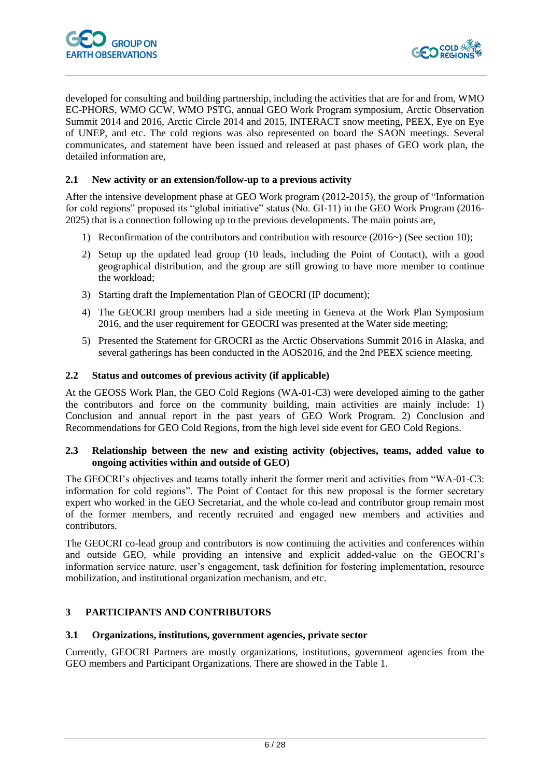

developed for consulting and building partnership, including the activities that are for and from, WMO EC-PHORS, WMO GCW, WMO PSTG, annual GEO Work Program symposium, Arctic Observation Summit 2014 and 2016, Arctic Circle 2014 and 2015, INTERACT snow meeting, PEEX, Eye on Eye of UNEP, and etc. The cold regions was also represented on board the SAON meetings. Several communicates, and statement have been issued and released at past phases of GEO work plan, the detailed information are,

#### <span id="page-5-0"></span>**2.1 New activity or an extension/follow-up to a previous activity**

After the intensive development phase at GEO Work program (2012-2015), the group of "Information for cold regions" proposed its "global initiative" status (No. GI-11) in the GEO Work Program (2016- 2025) that is a connection following up to the previous developments. The main points are,

- 1) Reconfirmation of the contributors and contribution with resource (2016~) (See section 10);
- 2) Setup up the updated lead group (10 leads, including the Point of Contact), with a good geographical distribution, and the group are still growing to have more member to continue the workload;
- 3) Starting draft the Implementation Plan of GEOCRI (IP document);
- 4) The GEOCRI group members had a side meeting in Geneva at the Work Plan Symposium 2016, and the user requirement for GEOCRI was presented at the Water side meeting;
- 5) Presented the Statement for GROCRI as the Arctic Observations Summit 2016 in Alaska, and several gatherings has been conducted in the AOS2016, and the 2nd PEEX science meeting.

#### <span id="page-5-1"></span>**2.2 Status and outcomes of previous activity (if applicable)**

At the GEOSS Work Plan, the GEO Cold Regions (WA-01-C3) were developed aiming to the gather the contributors and force on the community building, main activities are mainly include: 1) Conclusion and annual report in the past years of GEO Work Program. 2) Conclusion and Recommendations for GEO Cold Regions, from the high level side event for GEO Cold Regions.

#### <span id="page-5-2"></span>**2.3 Relationship between the new and existing activity (objectives, teams, added value to ongoing activities within and outside of GEO)**

The GEOCRI's objectives and teams totally inherit the former merit and activities from "WA-01-C3: information for cold regions". The Point of Contact for this new proposal is the former secretary expert who worked in the GEO Secretariat, and the whole co-lead and contributor group remain most of the former members, and recently recruited and engaged new members and activities and contributors.

The GEOCRI co-lead group and contributors is now continuing the activities and conferences within and outside GEO, while providing an intensive and explicit added-value on the GEOCRI's information service nature, user's engagement, task definition for fostering implementation, resource mobilization, and institutional organization mechanism, and etc.

#### <span id="page-5-3"></span>**3 PARTICIPANTS AND CONTRIBUTORS**

#### <span id="page-5-4"></span>**3.1 Organizations, institutions, government agencies, private sector**

Currently, GEOCRI Partners are mostly organizations, institutions, government agencies from the GEO members and Participant Organizations. There are showed in the Table 1.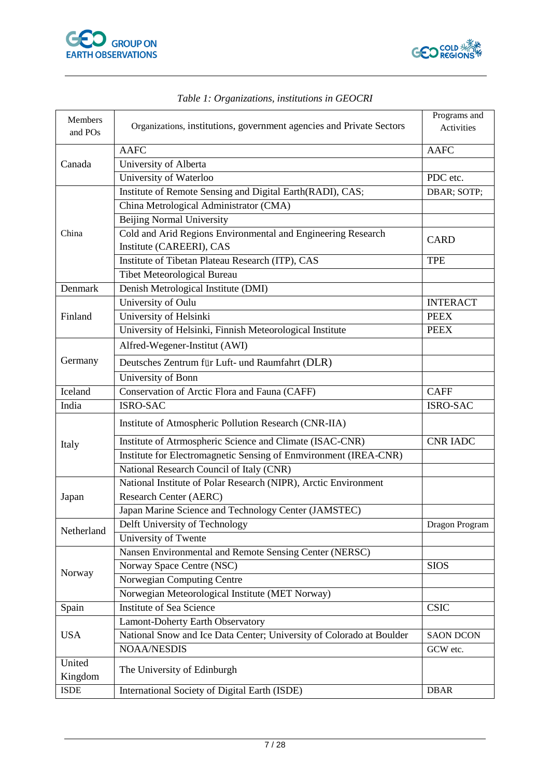



| Members<br>and POs | Organizations, institutions, government agencies and Private Sectors | Programs and<br>Activities |
|--------------------|----------------------------------------------------------------------|----------------------------|
|                    | <b>AAFC</b>                                                          | <b>AAFC</b>                |
| Canada             | University of Alberta                                                |                            |
|                    | University of Waterloo                                               | PDC etc.                   |
|                    | Institute of Remote Sensing and Digital Earth(RADI), CAS;            | DBAR; SOTP;                |
|                    | China Metrological Administrator (CMA)                               |                            |
|                    | <b>Beijing Normal University</b>                                     |                            |
| China              | Cold and Arid Regions Environmental and Engineering Research         | <b>CARD</b>                |
|                    | Institute (CAREERI), CAS                                             |                            |
|                    | Institute of Tibetan Plateau Research (ITP), CAS                     | <b>TPE</b>                 |
|                    | Tibet Meteorological Bureau                                          |                            |
| Denmark            | Denish Metrological Institute (DMI)                                  |                            |
|                    | University of Oulu                                                   | <b>INTERACT</b>            |
| Finland            | University of Helsinki                                               | <b>PEEX</b>                |
|                    | University of Helsinki, Finnish Meteorological Institute             | <b>PEEX</b>                |
|                    | Alfred-Wegener-Institut (AWI)                                        |                            |
| Germany            | Deutsches Zentrum für Luft- und Raumfahrt (DLR)                      |                            |
|                    | University of Bonn                                                   |                            |
| Iceland            | Conservation of Arctic Flora and Fauna (CAFF)                        | <b>CAFF</b>                |
| India              | <b>ISRO-SAC</b>                                                      | <b>ISRO-SAC</b>            |
|                    | Institute of Atmospheric Pollution Research (CNR-IIA)                |                            |
| Italy              | Institute of Atrmospheric Science and Climate (ISAC-CNR)             | <b>CNR IADC</b>            |
|                    | Institute for Electromagnetic Sensing of Enmvironment (IREA-CNR)     |                            |
|                    | National Research Council of Italy (CNR)                             |                            |
|                    | National Institute of Polar Research (NIPR), Arctic Environment      |                            |
| Japan              | Research Center (AERC)                                               |                            |
|                    | Japan Marine Science and Technology Center (JAMSTEC)                 |                            |
| Netherland         | Delft University of Technology                                       | Dragon Program             |
|                    | University of Twente                                                 |                            |
|                    | Nansen Environmental and Remote Sensing Center (NERSC)               |                            |
| Norway             | Norway Space Centre (NSC)                                            | <b>SIOS</b>                |
|                    | Norwegian Computing Centre                                           |                            |
|                    | Norwegian Meteorological Institute (MET Norway)                      |                            |
| Spain              | Institute of Sea Science                                             | <b>CSIC</b>                |
|                    | Lamont-Doherty Earth Observatory                                     |                            |
| <b>USA</b>         | National Snow and Ice Data Center; University of Colorado at Boulder | <b>SAON DCON</b>           |
|                    | <b>NOAA/NESDIS</b>                                                   | GCW etc.                   |
| United             |                                                                      |                            |
| Kingdom            | The University of Edinburgh                                          |                            |
| <b>ISDE</b>        | International Society of Digital Earth (ISDE)                        | <b>DBAR</b>                |

# *Table 1: Organizations, institutions in GEOCRI*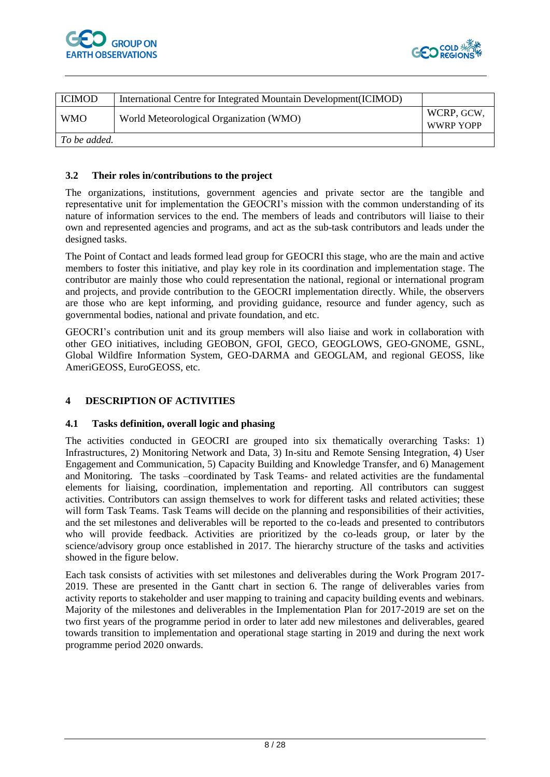



| <b>ICIMOD</b> | International Centre for Integrated Mountain Development (ICIMOD) |            |
|---------------|-------------------------------------------------------------------|------------|
|               |                                                                   | WCRP, GCW, |
| <b>WMO</b>    | World Meteorological Organization (WMO)                           | WWRP YOPP  |
| To be added.  |                                                                   |            |

#### <span id="page-7-0"></span>**3.2 Their roles in/contributions to the project**

The organizations, institutions, government agencies and private sector are the tangible and representative unit for implementation the GEOCRI's mission with the common understanding of its nature of information services to the end. The members of leads and contributors will liaise to their own and represented agencies and programs, and act as the sub-task contributors and leads under the designed tasks.

The Point of Contact and leads formed lead group for GEOCRI this stage, who are the main and active members to foster this initiative, and play key role in its coordination and implementation stage. The contributor are mainly those who could representation the national, regional or international program and projects, and provide contribution to the GEOCRI implementation directly. While, the observers are those who are kept informing, and providing guidance, resource and funder agency, such as governmental bodies, national and private foundation, and etc.

GEOCRI's contribution unit and its group members will also liaise and work in collaboration with other GEO initiatives, including GEOBON, GFOI, GECO, GEOGLOWS, GEO-GNOME, GSNL, Global Wildfire Information System, GEO-DARMA and GEOGLAM, and regional GEOSS, like AmeriGEOSS, EuroGEOSS, etc.

#### <span id="page-7-1"></span>**4 DESCRIPTION OF ACTIVITIES**

#### <span id="page-7-2"></span>**4.1 Tasks definition, overall logic and phasing**

The activities conducted in GEOCRI are grouped into six thematically overarching Tasks: 1) Infrastructures, 2) Monitoring Network and Data, 3) In-situ and Remote Sensing Integration, 4) User Engagement and Communication, 5) Capacity Building and Knowledge Transfer, and 6) Management and Monitoring. The tasks –coordinated by Task Teams- and related activities are the fundamental elements for liaising, coordination, implementation and reporting. All contributors can suggest activities. Contributors can assign themselves to work for different tasks and related activities; these will form Task Teams. Task Teams will decide on the planning and responsibilities of their activities, and the set milestones and deliverables will be reported to the co-leads and presented to contributors who will provide feedback. Activities are prioritized by the co-leads group, or later by the science/advisory group once established in 2017. The hierarchy structure of the tasks and activities showed in the figure below.

Each task consists of activities with set milestones and deliverables during the Work Program 2017- 2019. These are presented in the Gantt chart in section 6. The range of deliverables varies from activity reports to stakeholder and user mapping to training and capacity building events and webinars. Majority of the milestones and deliverables in the Implementation Plan for 2017-2019 are set on the two first years of the programme period in order to later add new milestones and deliverables, geared towards transition to implementation and operational stage starting in 2019 and during the next work programme period 2020 onwards.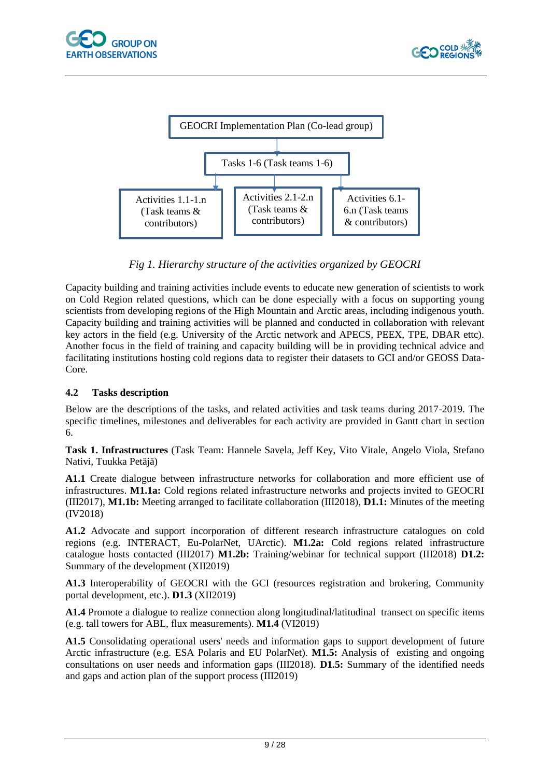



*Fig 1. Hierarchy structure of the activities organized by GEOCRI*

Capacity building and training activities include events to educate new generation of scientists to work on Cold Region related questions, which can be done especially with a focus on supporting young scientists from developing regions of the High Mountain and Arctic areas, including indigenous youth. Capacity building and training activities will be planned and conducted in collaboration with relevant key actors in the field (e.g. University of the Arctic network and APECS, PEEX, TPE, DBAR ettc). Another focus in the field of training and capacity building will be in providing technical advice and facilitating institutions hosting cold regions data to register their datasets to GCI and/or GEOSS Data-Core.

### <span id="page-8-0"></span>**4.2 Tasks description**

Below are the descriptions of the tasks, and related activities and task teams during 2017-2019. The specific timelines, milestones and deliverables for each activity are provided in Gantt chart in section 6.

**Task 1. Infrastructures** (Task Team: Hannele Savela, Jeff Key, Vito Vitale, Angelo Viola, Stefano Nativi, Tuukka Petäjä)

**A1.1** Create dialogue between infrastructure networks for collaboration and more efficient use of infrastructures. **M1.1a:** Cold regions related infrastructure networks and projects invited to GEOCRI (III2017), **M1.1b:** Meeting arranged to facilitate collaboration (III2018), **D1.1:** Minutes of the meeting (IV2018)

**A1.2** Advocate and support incorporation of different research infrastructure catalogues on cold regions (e.g. INTERACT, Eu-PolarNet, UArctic). **M1.2a:** Cold regions related infrastructure catalogue hosts contacted (III2017) **M1.2b:** Training/webinar for technical support (III2018) **D1.2:** Summary of the development (XII2019)

**A1.3** Interoperability of GEOCRI with the GCI (resources registration and brokering, Community portal development, etc.). **D1.3** (XII2019)

**A1.4** Promote a dialogue to realize connection along longitudinal/latitudinal transect on specific items (e.g. tall towers for ABL, flux measurements). **M1.4** (VI2019)

**A1.5** Consolidating operational users' needs and information gaps to support development of future Arctic infrastructure (e.g. ESA Polaris and EU PolarNet). **M1.5:** Analysis of existing and ongoing consultations on user needs and information gaps (III2018). **D1.5:** Summary of the identified needs and gaps and action plan of the support process (III2019)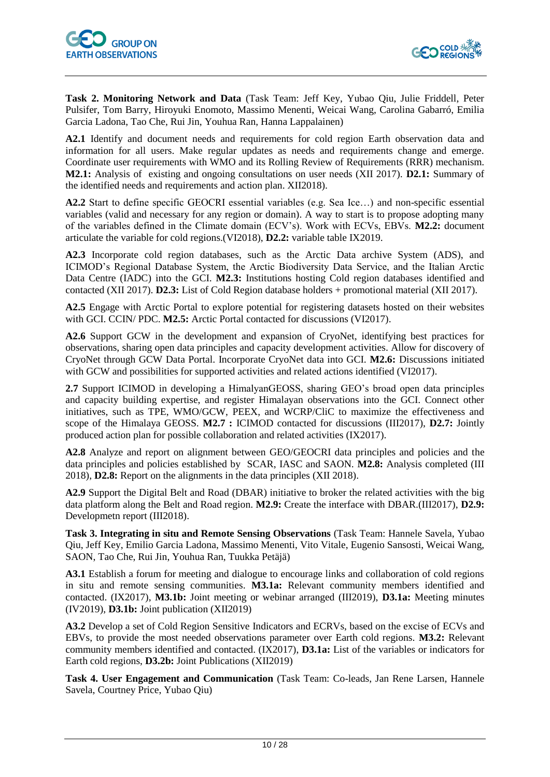

**Task 2. Monitoring Network and Data** (Task Team: Jeff Key, Yubao Qiu, Julie Friddell, Peter Pulsifer, Tom Barry, Hiroyuki Enomoto, Massimo Menenti, Weicai Wang, Carolina Gabarró, Emilia Garcia Ladona, Tao Che, Rui Jin, Youhua Ran, Hanna Lappalainen)

**A2.1** Identify and document needs and requirements for cold region Earth observation data and information for all users. Make regular updates as needs and requirements change and emerge. Coordinate user requirements with WMO and its Rolling Review of Requirements (RRR) mechanism. **M2.1:** Analysis of existing and ongoing consultations on user needs (XII 2017). **D2.1:** Summary of the identified needs and requirements and action plan. XII2018).

**A2.2** Start to define specific GEOCRI essential variables (e.g. Sea Ice…) and non-specific essential variables (valid and necessary for any region or domain). A way to start is to propose adopting many of the variables defined in the Climate domain (ECV's). Work with ECVs, EBVs. **M2.2:** document articulate the variable for cold regions.(VI2018), **D2.2:** variable table IX2019.

**A2.3** Incorporate cold region databases, such as the Arctic Data archive System (ADS), and ICIMOD's Regional Database System, the Arctic Biodiversity Data Service, and the Italian Arctic Data Centre (IADC) into the GCI. **M2.3:** Institutions hosting Cold region databases identified and contacted (XII 2017). **D2.3:** List of Cold Region database holders + promotional material (XII 2017).

**A2.5** Engage with Arctic Portal to explore potential for registering datasets hosted on their websites with GCI. CCIN/PDC. **M2.5:** Arctic Portal contacted for discussions (VI2017).

**A2.6** Support GCW in the development and expansion of CryoNet, identifying best practices for observations, sharing open data principles and capacity development activities. Allow for discovery of CryoNet through GCW Data Portal. Incorporate CryoNet data into GCI. **M2.6:** Discussions initiated with GCW and possibilities for supported activities and related actions identified (VI2017).

**2.7** Support ICIMOD in developing a HimalyanGEOSS, sharing GEO's broad open data principles and capacity building expertise, and register Himalayan observations into the GCI. Connect other initiatives, such as TPE, WMO/GCW, PEEX, and WCRP/CliC to maximize the effectiveness and scope of the Himalaya GEOSS. **M2.7 :** ICIMOD contacted for discussions (III2017), **D2.7:** Jointly produced action plan for possible collaboration and related activities (IX2017).

**A2.8** Analyze and report on alignment between GEO/GEOCRI data principles and policies and the data principles and policies established by SCAR, IASC and SAON. **M2.8:** Analysis completed (III 2018), **D2.8:** Report on the alignments in the data principles (XII 2018).

**A2.9** Support the Digital Belt and Road (DBAR) initiative to broker the related activities with the big data platform along the Belt and Road region. **M2.9:** Create the interface with DBAR.(III2017), **D2.9:** Developmetn report (III2018).

**Task 3. Integrating in situ and Remote Sensing Observations** (Task Team: Hannele Savela, Yubao Qiu, Jeff Key, Emilio Garcia Ladona, Massimo Menenti, Vito Vitale, Eugenio Sansosti, Weicai Wang, SAON, Tao Che, Rui Jin, Youhua Ran, Tuukka Petäjä)

**A3.1** Establish a forum for meeting and dialogue to encourage links and collaboration of cold regions in situ and remote sensing communities. **M3.1a:** Relevant community members identified and contacted. (IX2017), **M3.1b:** Joint meeting or webinar arranged (III2019), **D3.1a:** Meeting minutes (IV2019), **D3.1b:** Joint publication (XII2019)

**A3.2** Develop a set of Cold Region Sensitive Indicators and ECRVs, based on the excise of ECVs and EBVs, to provide the most needed observations parameter over Earth cold regions. **M3.2:** Relevant community members identified and contacted. (IX2017), **D3.1a:** List of the variables or indicators for Earth cold regions, **D3.2b:** Joint Publications (XII2019)

**Task 4. User Engagement and Communication** (Task Team: Co-leads, Jan Rene Larsen, Hannele Savela, Courtney Price, Yubao Qiu)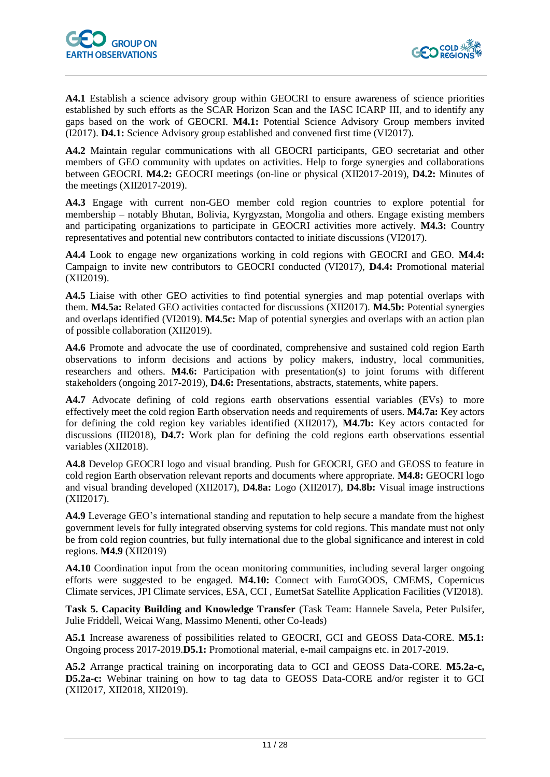

**A4.1** Establish a science advisory group within GEOCRI to ensure awareness of science priorities established by such efforts as the SCAR Horizon Scan and the IASC ICARP III, and to identify any gaps based on the work of GEOCRI. **M4.1:** Potential Science Advisory Group members invited (I2017). **D4.1:** Science Advisory group established and convened first time (VI2017).

**A4.2** Maintain regular communications with all GEOCRI participants, GEO secretariat and other members of GEO community with updates on activities. Help to forge synergies and collaborations between GEOCRI. **M4.2:** GEOCRI meetings (on-line or physical (XII2017-2019), **D4.2:** Minutes of the meetings (XII2017-2019).

**A4.3** Engage with current non-GEO member cold region countries to explore potential for membership – notably Bhutan, Bolivia, Kyrgyzstan, Mongolia and others. Engage existing members and participating organizations to participate in GEOCRI activities more actively. **M4.3:** Country representatives and potential new contributors contacted to initiate discussions (VI2017).

**A4.4** Look to engage new organizations working in cold regions with GEOCRI and GEO. **M4.4:** Campaign to invite new contributors to GEOCRI conducted (VI2017), **D4.4:** Promotional material (XII2019).

**A4.5** Liaise with other GEO activities to find potential synergies and map potential overlaps with them. **M4.5a:** Related GEO activities contacted for discussions (XII2017). **M4.5b:** Potential synergies and overlaps identified (VI2019). **M4.5c:** Map of potential synergies and overlaps with an action plan of possible collaboration (XII2019).

**A4.6** Promote and advocate the use of coordinated, comprehensive and sustained cold region Earth observations to inform decisions and actions by policy makers, industry, local communities, researchers and others. **M4.6:** Participation with presentation(s) to joint forums with different stakeholders (ongoing 2017-2019), **D4.6:** Presentations, abstracts, statements, white papers.

A4.7 Advocate defining of cold regions earth observations essential variables (EVs) to more effectively meet the cold region Earth observation needs and requirements of users. **M4.7a:** Key actors for defining the cold region key variables identified (XII2017), **M4.7b:** Key actors contacted for discussions (III2018), **D4.7:** Work plan for defining the cold regions earth observations essential variables (XII2018).

**A4.8** Develop GEOCRI logo and visual branding. Push for GEOCRI, GEO and GEOSS to feature in cold region Earth observation relevant reports and documents where appropriate. **M4.8:** GEOCRI logo and visual branding developed (XII2017), **D4.8a:** Logo (XII2017), **D4.8b:** Visual image instructions (XII2017).

**A4.9** Leverage GEO's international standing and reputation to help secure a mandate from the highest government levels for fully integrated observing systems for cold regions. This mandate must not only be from cold region countries, but fully international due to the global significance and interest in cold regions. **M4.9** (XII2019)

**A4.10** Coordination input from the ocean monitoring communities, including several larger ongoing efforts were suggested to be engaged. **M4.10:** Connect with EuroGOOS, CMEMS, Copernicus Climate services, JPI Climate services, ESA, CCI , EumetSat Satellite Application Facilities (VI2018).

**Task 5. Capacity Building and Knowledge Transfer** (Task Team: Hannele Savela, Peter Pulsifer, Julie Friddell, Weicai Wang, Massimo Menenti, other Co-leads)

**A5.1** Increase awareness of possibilities related to GEOCRI, GCI and GEOSS Data-CORE. **M5.1:** Ongoing process 2017-2019.**D5.1:** Promotional material, e-mail campaigns etc. in 2017-2019.

**A5.2** Arrange practical training on incorporating data to GCI and GEOSS Data-CORE. **M5.2a-c, D5.2a-c:** Webinar training on how to tag data to GEOSS Data-CORE and/or register it to GCI (XII2017, XII2018, XII2019).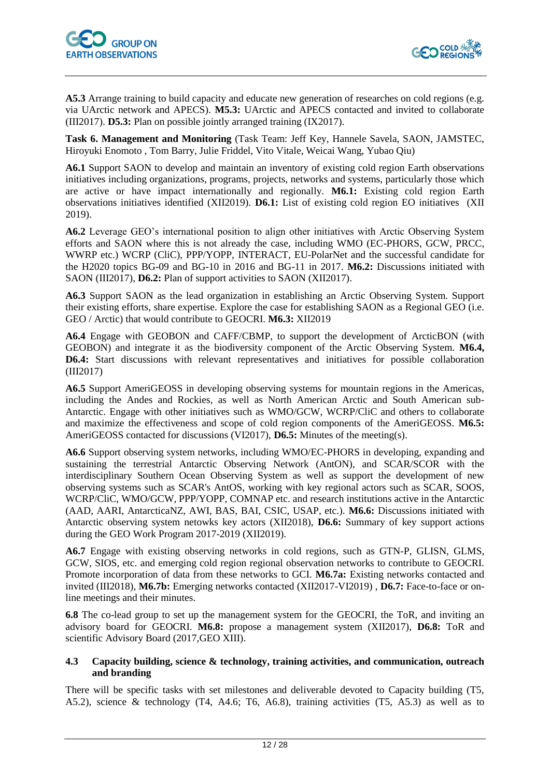

**A5.3** Arrange training to build capacity and educate new generation of researches on cold regions (e.g. via UArctic network and APECS). **M5.3:** UArctic and APECS contacted and invited to collaborate (III2017). **D5.3:** Plan on possible jointly arranged training (IX2017).

**Task 6. Management and Monitoring** (Task Team: Jeff Key, Hannele Savela, SAON, JAMSTEC, Hiroyuki Enomoto , Tom Barry, Julie Friddel, Vito Vitale, Weicai Wang, Yubao Qiu)

**A6.1** Support SAON to develop and maintain an inventory of existing cold region Earth observations initiatives including organizations, programs, projects, networks and systems, particularly those which are active or have impact internationally and regionally. **M6.1:** Existing cold region Earth observations initiatives identified (XII2019). **D6.1:** List of existing cold region EO initiatives (XII 2019).

**A6.2** Leverage GEO's international position to align other initiatives with Arctic Observing System efforts and SAON where this is not already the case, including WMO (EC-PHORS, GCW, PRCC, WWRP etc.) WCRP (CliC), PPP/YOPP, INTERACT, EU-PolarNet and the successful candidate for the H2020 topics BG-09 and BG-10 in 2016 and BG-11 in 2017. **M6.2:** Discussions initiated with SAON (III2017), **D6.2:** Plan of support activities to SAON (XII2017).

**A6.3** Support SAON as the lead organization in establishing an Arctic Observing System. Support their existing efforts, share expertise. Explore the case for establishing SAON as a Regional GEO (i.e. GEO / Arctic) that would contribute to GEOCRI. **M6.3:** XII2019

**A6.4** Engage with GEOBON and CAFF/CBMP, to support the development of ArcticBON (with GEOBON) and integrate it as the biodiversity component of the Arctic Observing System. **M6.4, D6.4:** Start discussions with relevant representatives and initiatives for possible collaboration (III2017)

**A6.5** Support AmeriGEOSS in developing observing systems for mountain regions in the Americas, including the Andes and Rockies, as well as North American Arctic and South American sub-Antarctic. Engage with other initiatives such as WMO/GCW, WCRP/CliC and others to collaborate and maximize the effectiveness and scope of cold region components of the AmeriGEOSS. **M6.5:** AmeriGEOSS contacted for discussions (VI2017), **D6.5:** Minutes of the meeting(s).

**A6.6** Support observing system networks, including WMO/EC-PHORS in developing, expanding and sustaining the terrestrial Antarctic Observing Network (AntON), and SCAR/SCOR with the interdisciplinary Southern Ocean Observing System as well as support the development of new observing systems such as SCAR's AntOS, working with key regional actors such as SCAR, SOOS, WCRP/CliC, WMO/GCW, PPP/YOPP, COMNAP etc. and research institutions active in the Antarctic (AAD, AARI, AntarcticaNZ, AWI, BAS, BAI, CSIC, USAP, etc.). **M6.6:** Discussions initiated with Antarctic observing system netowks key actors (XII2018), **D6.6:** Summary of key support actions during the GEO Work Program 2017-2019 (XII2019).

**A6.7** Engage with existing observing networks in cold regions, such as GTN-P, GLISN, GLMS, GCW, SIOS, etc. and emerging cold region regional observation networks to contribute to GEOCRI. Promote incorporation of data from these networks to GCI. **M6.7a:** Existing networks contacted and invited (III2018), **M6.7b:** Emerging networks contacted (XII2017-VI2019) , **D6.7:** Face-to-face or online meetings and their minutes.

**6.8** The co-lead group to set up the management system for the GEOCRI, the ToR, and inviting an advisory board for GEOCRI. **M6.8:** propose a management system (XII2017), **D6.8:** ToR and scientific Advisory Board (2017,GEO XIII).

#### <span id="page-11-0"></span>**4.3 Capacity building, science & technology, training activities, and communication, outreach and branding**

There will be specific tasks with set milestones and deliverable devoted to Capacity building (T5, A5.2), science & technology (T4, A4.6; T6, A6.8), training activities (T5, A5.3) as well as to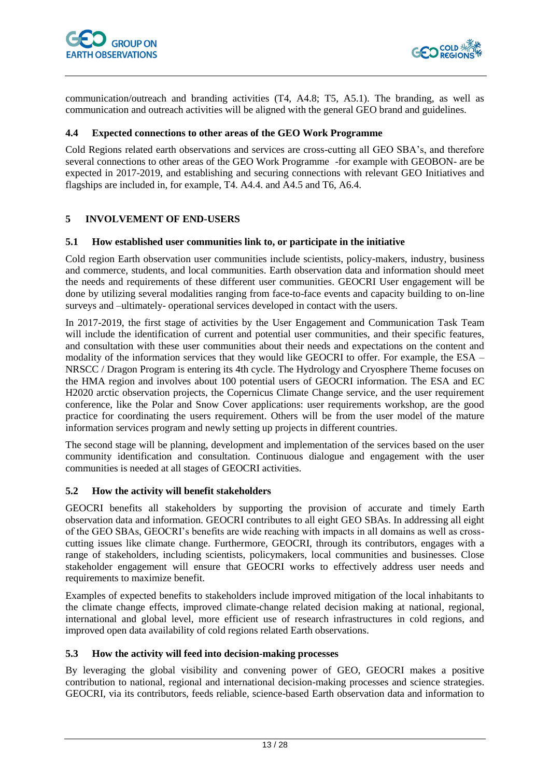

communication/outreach and branding activities (T4, A4.8; T5, A5.1). The branding, as well as communication and outreach activities will be aligned with the general GEO brand and guidelines.

#### <span id="page-12-0"></span>**4.4 Expected connections to other areas of the GEO Work Programme**

Cold Regions related earth observations and services are cross-cutting all GEO SBA's, and therefore several connections to other areas of the GEO Work Programme -for example with GEOBON- are be expected in 2017-2019, and establishing and securing connections with relevant GEO Initiatives and flagships are included in, for example, T4. A4.4. and A4.5 and T6, A6.4.

#### <span id="page-12-1"></span>**5 INVOLVEMENT OF END-USERS**

#### <span id="page-12-2"></span>**5.1 How established user communities link to, or participate in the initiative**

Cold region Earth observation user communities include scientists, policy-makers, industry, business and commerce, students, and local communities. Earth observation data and information should meet the needs and requirements of these different user communities. GEOCRI User engagement will be done by utilizing several modalities ranging from face-to-face events and capacity building to on-line surveys and –ultimately- operational services developed in contact with the users.

In 2017-2019, the first stage of activities by the User Engagement and Communication Task Team will include the identification of current and potential user communities, and their specific features, and consultation with these user communities about their needs and expectations on the content and modality of the information services that they would like GEOCRI to offer. For example, the ESA – NRSCC / Dragon Program is entering its 4th cycle. The Hydrology and Cryosphere Theme focuses on the HMA region and involves about 100 potential users of GEOCRI information. The ESA and EC H2020 arctic observation projects, the Copernicus Climate Change service, and the user requirement conference, like the Polar and Snow Cover applications: user requirements workshop, are the good practice for coordinating the users requirement. Others will be from the user model of the mature information services program and newly setting up projects in different countries.

The second stage will be planning, development and implementation of the services based on the user community identification and consultation. Continuous dialogue and engagement with the user communities is needed at all stages of GEOCRI activities.

#### <span id="page-12-3"></span>**5.2 How the activity will benefit stakeholders**

GEOCRI benefits all stakeholders by supporting the provision of accurate and timely Earth observation data and information. GEOCRI contributes to all eight GEO SBAs. In addressing all eight of the GEO SBAs, GEOCRI's benefits are wide reaching with impacts in all domains as well as crosscutting issues like climate change. Furthermore, GEOCRI, through its contributors, engages with a range of stakeholders, including scientists, policymakers, local communities and businesses. Close stakeholder engagement will ensure that GEOCRI works to effectively address user needs and requirements to maximize benefit.

Examples of expected benefits to stakeholders include improved mitigation of the local inhabitants to the climate change effects, improved climate-change related decision making at national, regional, international and global level, more efficient use of research infrastructures in cold regions, and improved open data availability of cold regions related Earth observations.

#### <span id="page-12-4"></span>**5.3 How the activity will feed into decision-making processes**

By leveraging the global visibility and convening power of GEO, GEOCRI makes a positive contribution to national, regional and international decision-making processes and science strategies. GEOCRI, via its contributors, feeds reliable, science-based Earth observation data and information to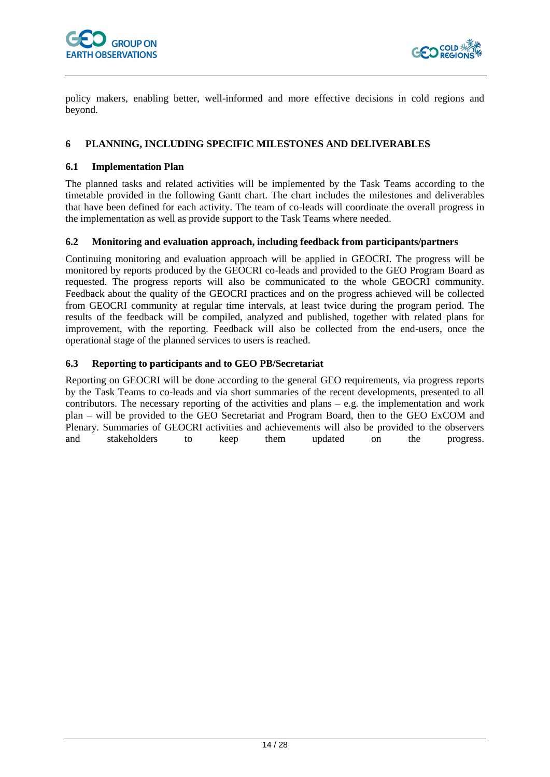

policy makers, enabling better, well-informed and more effective decisions in cold regions and beyond.

#### <span id="page-13-0"></span>**6 PLANNING, INCLUDING SPECIFIC MILESTONES AND DELIVERABLES**

#### <span id="page-13-1"></span>**6.1 Implementation Plan**

The planned tasks and related activities will be implemented by the Task Teams according to the timetable provided in the following Gantt chart. The chart includes the milestones and deliverables that have been defined for each activity. The team of co-leads will coordinate the overall progress in the implementation as well as provide support to the Task Teams where needed.

#### <span id="page-13-2"></span>**6.2 Monitoring and evaluation approach, including feedback from participants/partners**

Continuing monitoring and evaluation approach will be applied in GEOCRI. The progress will be monitored by reports produced by the GEOCRI co-leads and provided to the GEO Program Board as requested. The progress reports will also be communicated to the whole GEOCRI community. Feedback about the quality of the GEOCRI practices and on the progress achieved will be collected from GEOCRI community at regular time intervals, at least twice during the program period. The results of the feedback will be compiled, analyzed and published, together with related plans for improvement, with the reporting. Feedback will also be collected from the end-users, once the operational stage of the planned services to users is reached.

#### <span id="page-13-3"></span>**6.3 Reporting to participants and to GEO PB/Secretariat**

Reporting on GEOCRI will be done according to the general GEO requirements, via progress reports by the Task Teams to co-leads and via short summaries of the recent developments, presented to all contributors. The necessary reporting of the activities and plans – e.g. the implementation and work plan – will be provided to the GEO Secretariat and Program Board, then to the GEO ExCOM and Plenary. Summaries of GEOCRI activities and achievements will also be provided to the observers and stakeholders to keep them updated on the progress.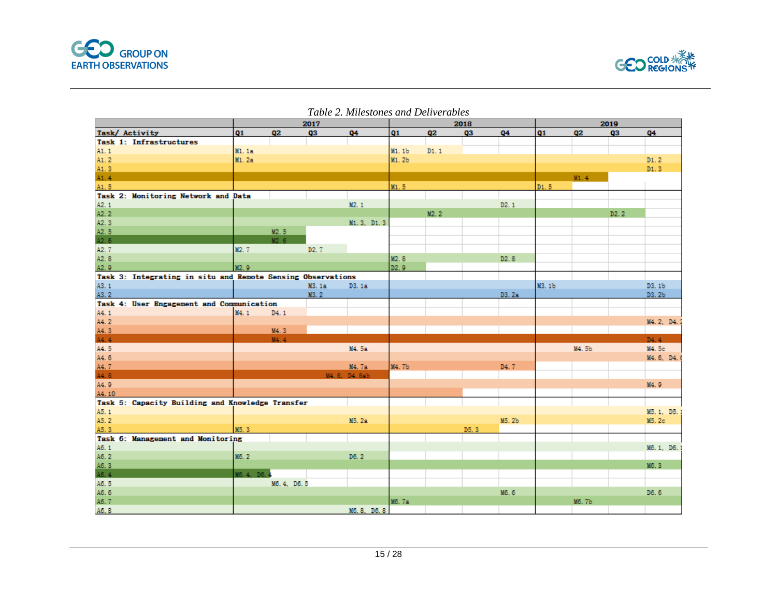



|                                                             |                   |                   | 2017              |                       | 2018              |                | 2019 |                   |           |           |                   |                   |
|-------------------------------------------------------------|-------------------|-------------------|-------------------|-----------------------|-------------------|----------------|------|-------------------|-----------|-----------|-------------------|-------------------|
| Task/ Activity                                              | Q1                | Q <sub>2</sub>    | Q3                | Q4                    | Q1                | Q <sub>2</sub> | Q3   | Q4                | <b>Q1</b> | <b>Q2</b> | Q3                | Q4                |
| Task 1: Infrastructures                                     |                   |                   |                   |                       |                   |                |      |                   |           |           |                   |                   |
| A1.1                                                        | <b>M1.1a</b>      |                   |                   |                       | M1.1b             | D1.1           |      |                   |           |           |                   |                   |
| A <sub>1</sub> .2                                           | <b>M1.2a</b>      |                   |                   |                       | M1.2b             |                |      |                   |           |           |                   | D1.2              |
| A1.3                                                        |                   |                   |                   |                       |                   |                |      |                   |           |           |                   | D1.3              |
| A1.4                                                        |                   |                   |                   |                       |                   |                |      |                   |           | M1.4      |                   |                   |
| A1.5                                                        |                   |                   |                   |                       | M1.5              |                |      |                   | D1.5      |           |                   |                   |
| Task 2: Monitoring Network and Data                         |                   |                   |                   |                       |                   |                |      |                   |           |           |                   |                   |
| A2.1                                                        |                   |                   |                   | M <sub>2</sub> .1     |                   |                |      | D2.1              |           |           |                   |                   |
| A2.2                                                        |                   |                   |                   |                       |                   | M2.2           |      |                   |           |           | D <sub>2</sub> .2 |                   |
| A2.3                                                        |                   |                   |                   | M1.3, D1.3            |                   |                |      |                   |           |           |                   |                   |
| A2.5                                                        |                   | M <sub>2</sub> .5 |                   |                       |                   |                |      |                   |           |           |                   |                   |
| A2.6                                                        |                   | M2.6              |                   |                       |                   |                |      |                   |           |           |                   |                   |
| A2, 7                                                       | M2.7              |                   | D <sub>2</sub> .7 |                       |                   |                |      |                   |           |           |                   |                   |
| A2.8                                                        |                   |                   |                   |                       | M <sub>2</sub> .8 |                |      | D <sub>2</sub> .8 |           |           |                   |                   |
| A2.9                                                        | M <sub>2</sub> .9 |                   |                   |                       | D2.9              |                |      |                   |           |           |                   |                   |
| Task 3: Integrating in situ and Remote Sensing Observations |                   |                   |                   |                       |                   |                |      |                   |           |           |                   |                   |
| A3.1                                                        |                   |                   | M3.1a             | D3.1a                 |                   |                |      |                   | M3.1b     |           |                   | D3.1b             |
| A3.2                                                        |                   |                   | M3.2              |                       |                   |                |      | D3.2a             |           |           |                   | D3.2b             |
| Task 4: User Engagement and Communication                   |                   |                   |                   |                       |                   |                |      |                   |           |           |                   |                   |
| A4.1                                                        | M4.1              | D4.1              |                   |                       |                   |                |      |                   |           |           |                   |                   |
| A4.2                                                        |                   |                   |                   |                       |                   |                |      |                   |           |           |                   | M4.2, D4.2        |
| A4.3                                                        |                   | M4.3              |                   |                       |                   |                |      |                   |           |           |                   |                   |
| A4.4                                                        |                   | M4.4              |                   |                       |                   |                |      |                   |           |           |                   | D4.4              |
| A4.5                                                        |                   |                   |                   | M4.5a                 |                   |                |      |                   |           | M4.5b     |                   | M4.5c             |
| A4.6                                                        |                   |                   |                   |                       |                   |                |      |                   |           |           |                   |                   |
|                                                             |                   |                   |                   |                       | <b>M4.7b</b>      |                |      |                   |           |           |                   | M4. 6, D4.        |
| A4.7<br>A4.8                                                |                   |                   |                   | M4.7a<br>M4.8. D4.8ab |                   |                |      | D <sub>4</sub> .7 |           |           |                   |                   |
|                                                             |                   |                   |                   |                       |                   |                |      |                   |           |           |                   |                   |
| A4.9                                                        |                   |                   |                   |                       |                   |                |      |                   |           |           |                   | M <sub>4</sub> .9 |
| A4.10                                                       |                   |                   |                   |                       |                   |                |      |                   |           |           |                   |                   |
| Task 5: Capacity Building and Knowledge Transfer            |                   |                   |                   |                       |                   |                |      |                   |           |           |                   |                   |
| A5.1                                                        |                   |                   |                   |                       |                   |                |      |                   |           |           |                   | M5.1, D5.1        |
| A5.2                                                        |                   |                   |                   | M5.2a                 |                   |                |      | M5.2b             |           |           |                   | M5.2c             |
| A5.3                                                        | M5.3              |                   |                   |                       |                   |                | D5.3 |                   |           |           |                   |                   |
| Task 6: Management and Monitoring                           |                   |                   |                   |                       |                   |                |      |                   |           |           |                   |                   |
| A6.1                                                        |                   |                   |                   |                       |                   |                |      |                   |           |           |                   | M6.1, D6.1        |
| A6.2                                                        | M6.2              |                   |                   | D6.2                  |                   |                |      |                   |           |           |                   |                   |
| A6.3                                                        |                   |                   |                   |                       |                   |                |      |                   |           |           |                   | M6.3              |
| A6.4                                                        | M6.4. D6.4        |                   |                   |                       |                   |                |      |                   |           |           |                   |                   |
| A6.5                                                        |                   | M6.4, D6.5        |                   |                       |                   |                |      |                   |           |           |                   |                   |
| A6.6                                                        |                   |                   |                   |                       |                   |                |      | M6.6              |           |           |                   | D6.6              |
| A6.7                                                        |                   |                   |                   |                       | M6.7a             |                |      |                   |           | M6.7b     |                   |                   |
| A6 8                                                        |                   |                   |                   | M6 8 D6 8             |                   |                |      |                   |           |           |                   |                   |

#### *Table 2. Milestones and Deliverables*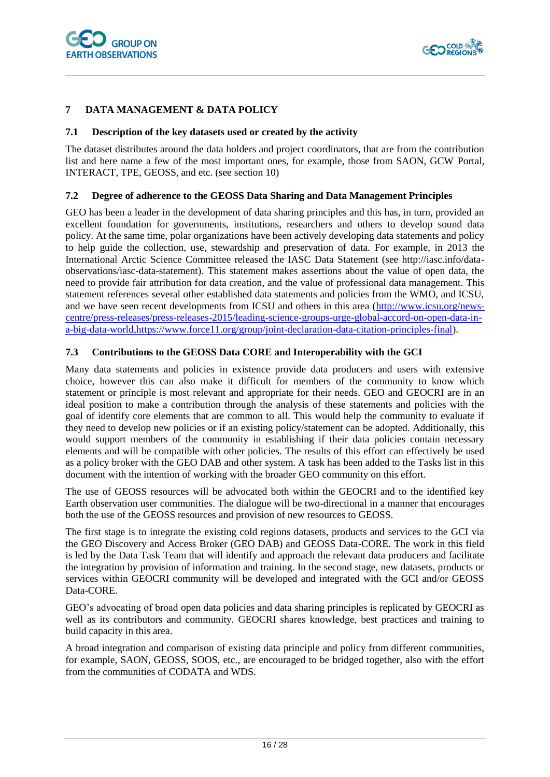

#### <span id="page-15-0"></span>**7 DATA MANAGEMENT & DATA POLICY**

#### <span id="page-15-1"></span>**7.1 Description of the key datasets used or created by the activity**

The dataset distributes around the data holders and project coordinators, that are from the contribution list and here name a few of the most important ones, for example, those from SAON, GCW Portal, INTERACT, TPE, GEOSS, and etc. (see section 10)

#### <span id="page-15-2"></span>**7.2 Degree of adherence to the GEOSS Data Sharing and Data Management Principles**

GEO has been a leader in the development of data sharing principles and this has, in turn, provided an excellent foundation for governments, institutions, researchers and others to develop sound data policy. At the same time, polar organizations have been actively developing data statements and policy to help guide the collection, use, stewardship and preservation of data. For example, in 2013 the International Arctic Science Committee released the IASC Data Statement (see http://iasc.info/dataobservations/iasc-data-statement). This statement makes assertions about the value of open data, the need to provide fair attribution for data creation, and the value of professional data management. This statement references several other established data statements and policies from the WMO, and ICSU, and we have seen recent developments from ICSU and others in this area [\(http://www.icsu.org/news](http://www.icsu.org/news-centre/press-releases/press-releases-2015/leading-science-groups-urge-global-accord-on-open-data-in-a-big-data-world,https:/www.force11.org/group/joint-declaration-data-citation-principles-final)[centre/press-releases/press-releases-2015/leading-science-groups-urge-global-accord-on-open-data-in](http://www.icsu.org/news-centre/press-releases/press-releases-2015/leading-science-groups-urge-global-accord-on-open-data-in-a-big-data-world,https:/www.force11.org/group/joint-declaration-data-citation-principles-final)[a-big-data-world,https://www.force11.org/group/joint-declaration-data-citation-principles-final\)](http://www.icsu.org/news-centre/press-releases/press-releases-2015/leading-science-groups-urge-global-accord-on-open-data-in-a-big-data-world,https:/www.force11.org/group/joint-declaration-data-citation-principles-final).

#### <span id="page-15-3"></span>**7.3 Contributions to the GEOSS Data CORE and Interoperability with the GCI**

Many data statements and policies in existence provide data producers and users with extensive choice, however this can also make it difficult for members of the community to know which statement or principle is most relevant and appropriate for their needs. GEO and GEOCRI are in an ideal position to make a contribution through the analysis of these statements and policies with the goal of identify core elements that are common to all. This would help the community to evaluate if they need to develop new policies or if an existing policy/statement can be adopted. Additionally, this would support members of the community in establishing if their data policies contain necessary elements and will be compatible with other policies. The results of this effort can effectively be used as a policy broker with the GEO DAB and other system. A task has been added to the Tasks list in this document with the intention of working with the broader GEO community on this effort.

The use of GEOSS resources will be advocated both within the GEOCRI and to the identified key Earth observation user communities. The dialogue will be two-directional in a manner that encourages both the use of the GEOSS resources and provision of new resources to GEOSS.

The first stage is to integrate the existing cold regions datasets, products and services to the GCI via the GEO Discovery and Access Broker (GEO DAB) and GEOSS Data-CORE. The work in this field is led by the Data Task Team that will identify and approach the relevant data producers and facilitate the integration by provision of information and training. In the second stage, new datasets, products or services within GEOCRI community will be developed and integrated with the GCI and/or GEOSS Data-CORE.

GEO's advocating of broad open data policies and data sharing principles is replicated by GEOCRI as well as its contributors and community. GEOCRI shares knowledge, best practices and training to build capacity in this area.

A broad integration and comparison of existing data principle and policy from different communities, for example, SAON, GEOSS, SOOS, etc., are encouraged to be bridged together, also with the effort from the communities of CODATA and WDS.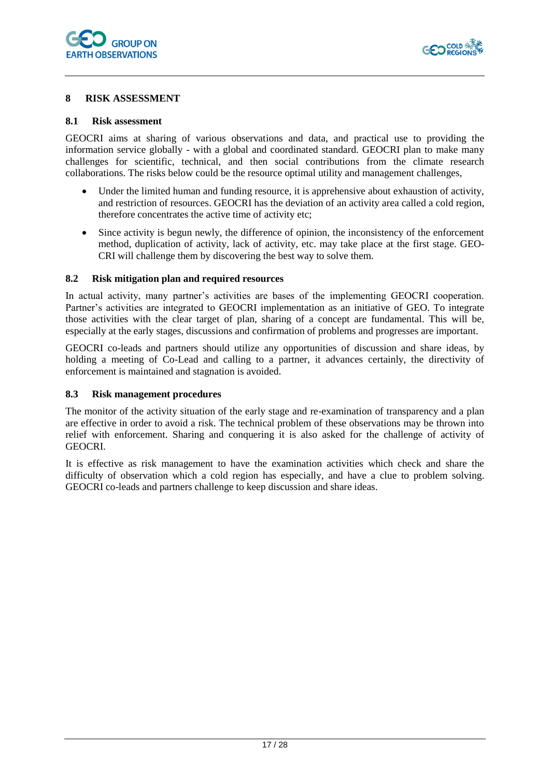

#### <span id="page-16-0"></span>**8 RISK ASSESSMENT**

#### <span id="page-16-1"></span>**8.1 Risk assessment**

GEOCRI aims at sharing of various observations and data, and practical use to providing the information service globally - with a global and coordinated standard. GEOCRI plan to make many challenges for scientific, technical, and then social contributions from the climate research collaborations. The risks below could be the resource optimal utility and management challenges,

- Under the limited human and funding resource, it is apprehensive about exhaustion of activity, and restriction of resources. GEOCRI has the deviation of an activity area called a cold region, therefore concentrates the active time of activity etc;
- Since activity is begun newly, the difference of opinion, the inconsistency of the enforcement method, duplication of activity, lack of activity, etc. may take place at the first stage. GEO-CRI will challenge them by discovering the best way to solve them.

#### <span id="page-16-2"></span>**8.2 Risk mitigation plan and required resources**

In actual activity, many partner's activities are bases of the implementing GEOCRI cooperation. Partner's activities are integrated to GEOCRI implementation as an initiative of GEO. To integrate those activities with the clear target of plan, sharing of a concept are fundamental. This will be, especially at the early stages, discussions and confirmation of problems and progresses are important.

GEOCRI co-leads and partners should utilize any opportunities of discussion and share ideas, by holding a meeting of Co-Lead and calling to a partner, it advances certainly, the directivity of enforcement is maintained and stagnation is avoided.

#### <span id="page-16-3"></span>**8.3 Risk management procedures**

The monitor of the activity situation of the early stage and re-examination of transparency and a plan are effective in order to avoid a risk. The technical problem of these observations may be thrown into relief with enforcement. Sharing and conquering it is also asked for the challenge of activity of GEOCRI.

It is effective as risk management to have the examination activities which check and share the difficulty of observation which a cold region has especially, and have a clue to problem solving. GEOCRI co-leads and partners challenge to keep discussion and share ideas.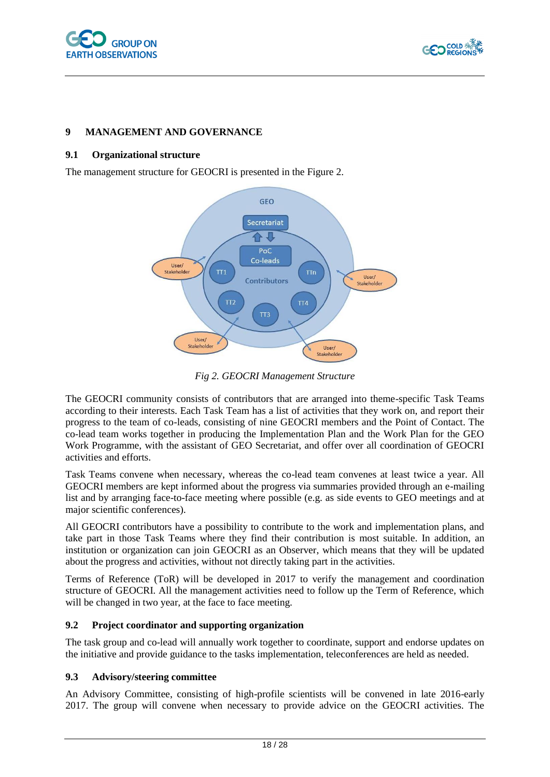



#### <span id="page-17-0"></span>**9 MANAGEMENT AND GOVERNANCE**

#### <span id="page-17-1"></span>**9.1 Organizational structure**

The management structure for GEOCRI is presented in the Figure 2.



*Fig 2. GEOCRI Management Structure*

The GEOCRI community consists of contributors that are arranged into theme-specific Task Teams according to their interests. Each Task Team has a list of activities that they work on, and report their progress to the team of co-leads, consisting of nine GEOCRI members and the Point of Contact. The co-lead team works together in producing the Implementation Plan and the Work Plan for the GEO Work Programme, with the assistant of GEO Secretariat, and offer over all coordination of GEOCRI activities and efforts.

Task Teams convene when necessary, whereas the co-lead team convenes at least twice a year. All GEOCRI members are kept informed about the progress via summaries provided through an e-mailing list and by arranging face-to-face meeting where possible (e.g. as side events to GEO meetings and at major scientific conferences).

All GEOCRI contributors have a possibility to contribute to the work and implementation plans, and take part in those Task Teams where they find their contribution is most suitable. In addition, an institution or organization can join GEOCRI as an Observer, which means that they will be updated about the progress and activities, without not directly taking part in the activities.

Terms of Reference (ToR) will be developed in 2017 to verify the management and coordination structure of GEOCRI. All the management activities need to follow up the Term of Reference, which will be changed in two year, at the face to face meeting.

#### <span id="page-17-2"></span>**9.2 Project coordinator and supporting organization**

The task group and co-lead will annually work together to coordinate, support and endorse updates on the initiative and provide guidance to the tasks implementation, teleconferences are held as needed.

#### <span id="page-17-3"></span>**9.3 Advisory/steering committee**

An Advisory Committee, consisting of high-profile scientists will be convened in late 2016-early 2017. The group will convene when necessary to provide advice on the GEOCRI activities. The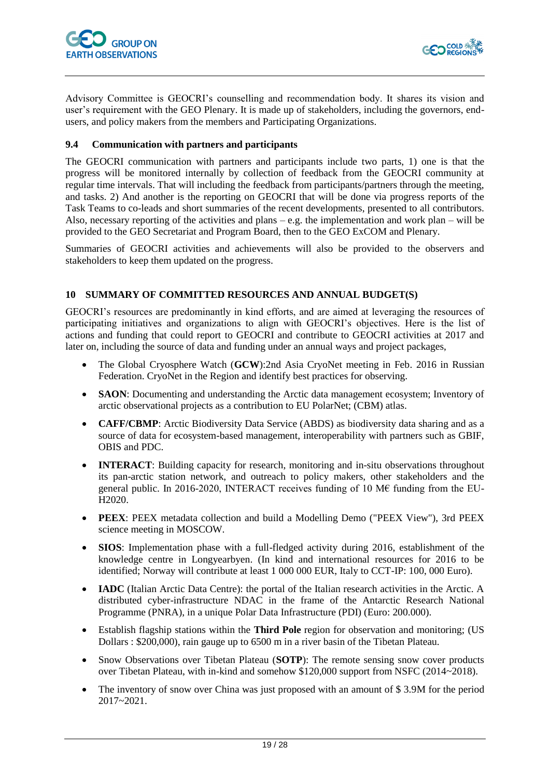



Advisory Committee is GEOCRI's counselling and recommendation body. It shares its vision and user's requirement with the GEO Plenary. It is made up of stakeholders, including the governors, endusers, and policy makers from the members and Participating Organizations.

#### <span id="page-18-0"></span>**9.4 Communication with partners and participants**

The GEOCRI communication with partners and participants include two parts, 1) one is that the progress will be monitored internally by collection of feedback from the GEOCRI community at regular time intervals. That will including the feedback from participants/partners through the meeting, and tasks. 2) And another is the reporting on GEOCRI that will be done via progress reports of the Task Teams to co-leads and short summaries of the recent developments, presented to all contributors. Also, necessary reporting of the activities and plans – e.g. the implementation and work plan – will be provided to the GEO Secretariat and Program Board, then to the GEO ExCOM and Plenary.

Summaries of GEOCRI activities and achievements will also be provided to the observers and stakeholders to keep them updated on the progress.

#### <span id="page-18-1"></span>**10 SUMMARY OF COMMITTED RESOURCES AND ANNUAL BUDGET(S)**

GEOCRI's resources are predominantly in kind efforts, and are aimed at leveraging the resources of participating initiatives and organizations to align with GEOCRI's objectives. Here is the list of actions and funding that could report to GEOCRI and contribute to GEOCRI activities at 2017 and later on, including the source of data and funding under an annual ways and project packages,

- The Global Cryosphere Watch (**GCW**):2nd Asia CryoNet meeting in Feb. 2016 in Russian Federation. CryoNet in the Region and identify best practices for observing.
- **SAON**: Documenting and understanding the Arctic data management ecosystem; Inventory of arctic observational projects as a contribution to EU PolarNet; (CBM) atlas.
- **CAFF/CBMP**: Arctic Biodiversity Data Service (ABDS) as biodiversity data sharing and as a source of data for ecosystem-based management, interoperability with partners such as GBIF, OBIS and PDC.
- **INTERACT**: Building capacity for research, monitoring and in-situ observations throughout its pan-arctic station network, and outreach to policy makers, other stakeholders and the general public. In 2016-2020, INTERACT receives funding of 10 M€ funding from the EU-H2020.
- **PEEX**: PEEX metadata collection and build a Modelling Demo ("PEEX View"), 3rd PEEX science meeting in MOSCOW.
- **SIOS**: Implementation phase with a full-fledged activity during 2016, establishment of the knowledge centre in Longyearbyen. (In kind and international resources for 2016 to be identified; Norway will contribute at least 1 000 000 EUR, Italy to CCT-IP: 100, 000 Euro).
- **IADC** (Italian Arctic Data Centre): the portal of the Italian research activities in the Arctic. A distributed cyber-infrastructure NDAC in the frame of the Antarctic Research National Programme (PNRA), in a unique Polar Data Infrastructure (PDI) (Euro: 200.000).
- Establish flagship stations within the **Third Pole** region for observation and monitoring; (US Dollars : \$200,000), rain gauge up to 6500 m in a river basin of the Tibetan Plateau.
- Snow Observations over Tibetan Plateau (**SOTP**): The remote sensing snow cover products over Tibetan Plateau, with in-kind and somehow \$120,000 support from NSFC (2014~2018).
- The inventory of snow over China was just proposed with an amount of \$3.9M for the period 2017~2021.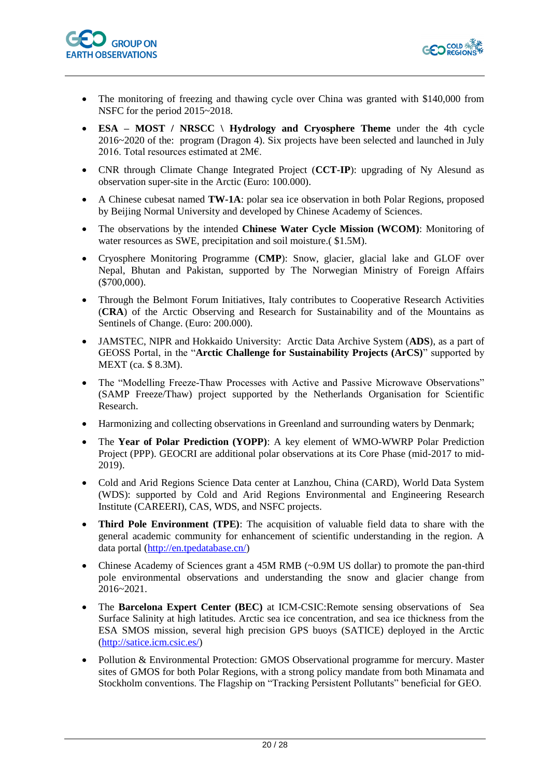



- The monitoring of freezing and thawing cycle over China was granted with \$140,000 from NSFC for the period 2015~2018.
- **ESA – MOST / NRSCC \ Hydrology and Cryosphere Theme** under the 4th cycle 2016~2020 of the: program (Dragon 4). Six projects have been selected and launched in July 2016. Total resources estimated at 2M€.
- CNR through Climate Change Integrated Project (**CCT-IP**): upgrading of Ny Alesund as observation super-site in the Arctic (Euro: 100.000).
- A Chinese cubesat named **TW-1A**: polar sea ice observation in both Polar Regions, proposed by Beijing Normal University and developed by Chinese Academy of Sciences.
- The observations by the intended **Chinese Water Cycle Mission (WCOM)**: Monitoring of water resources as SWE, precipitation and soil moisture.  $$1.5M$ ).
- Cryosphere Monitoring Programme (**CMP**): Snow, glacier, glacial lake and GLOF over Nepal, Bhutan and Pakistan, supported by The Norwegian Ministry of Foreign Affairs (\$700,000).
- Through the Belmont Forum Initiatives, Italy contributes to Cooperative Research Activities (**CRA**) of the Arctic Observing and Research for Sustainability and of the Mountains as Sentinels of Change. (Euro: 200.000).
- JAMSTEC, NIPR and Hokkaido University: Arctic Data Archive System (**ADS**), as a part of GEOSS Portal, in the "**Arctic Challenge for Sustainability Projects (ArCS)**" supported by MEXT (ca. \$ 8.3M).
- The "Modelling Freeze-Thaw Processes with Active and Passive Microwave Observations" (SAMP Freeze/Thaw) project supported by the Netherlands Organisation for Scientific Research.
- Harmonizing and collecting observations in Greenland and surrounding waters by Denmark;
- The **Year of Polar Prediction (YOPP)**: A key element of WMO-WWRP Polar Prediction Project (PPP). GEOCRI are additional polar observations at its Core Phase (mid-2017 to mid-2019).
- Cold and Arid Regions Science Data center at Lanzhou, China (CARD), World Data System (WDS): supported by Cold and Arid Regions Environmental and Engineering Research Institute (CAREERI), CAS, WDS, and NSFC projects.
- **Third Pole Environment (TPE)**: The acquisition of valuable field data to share with the general academic community for enhancement of scientific understanding in the region. A data portal [\(http://en.tpedatabase.cn/\)](http://en.tpedatabase.cn/)
- Chinese Academy of Sciences grant a 45M RMB (~0.9M US dollar) to promote the pan-third pole environmental observations and understanding the snow and glacier change from 2016~2021.
- The **Barcelona Expert Center (BEC)** at ICM-CSIC:Remote sensing observations of Sea Surface Salinity at high latitudes. Arctic sea ice concentration, and sea ice thickness from the ESA SMOS mission, several high precision GPS buoys (SATICE) deployed in the Arctic [\(http://satice.icm.csic.es/\)](http://satice.icm.csic.es/)
- Pollution & Environmental Protection: GMOS Observational programme for mercury. Master sites of GMOS for both Polar Regions, with a strong policy mandate from both Minamata and Stockholm conventions. The Flagship on "Tracking Persistent Pollutants" beneficial for GEO.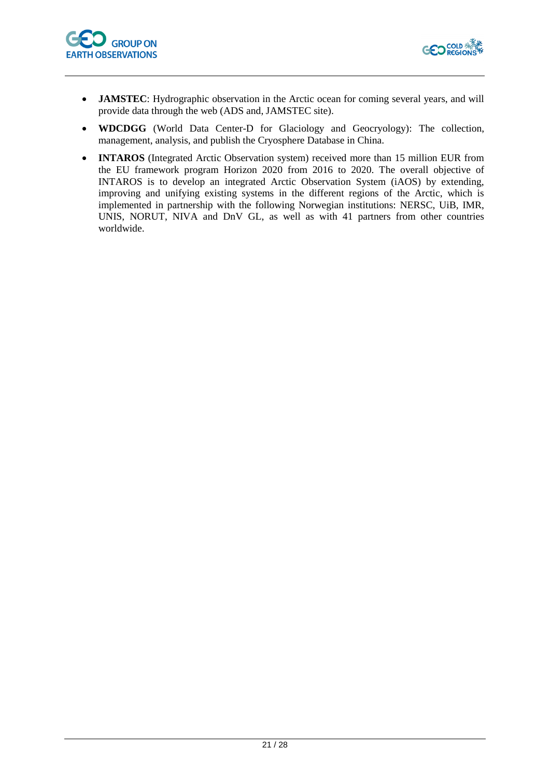



- **JAMSTEC**: Hydrographic observation in the Arctic ocean for coming several years, and will provide data through the web (ADS and, JAMSTEC site).
- **WDCDGG** (World Data Center-D for Glaciology and Geocryology): The collection, management, analysis, and publish the Cryosphere Database in China.
- **INTAROS** (Integrated Arctic Observation system) received more than 15 million EUR from the EU framework program Horizon 2020 from 2016 to 2020. The overall objective of INTAROS is to develop an integrated Arctic Observation System (iAOS) by extending, improving and unifying existing systems in the different regions of the Arctic, which is implemented in partnership with the following Norwegian institutions: NERSC, UiB, IMR, UNIS, NORUT, NIVA and DnV GL, as well as with 41 partners from other countries worldwide.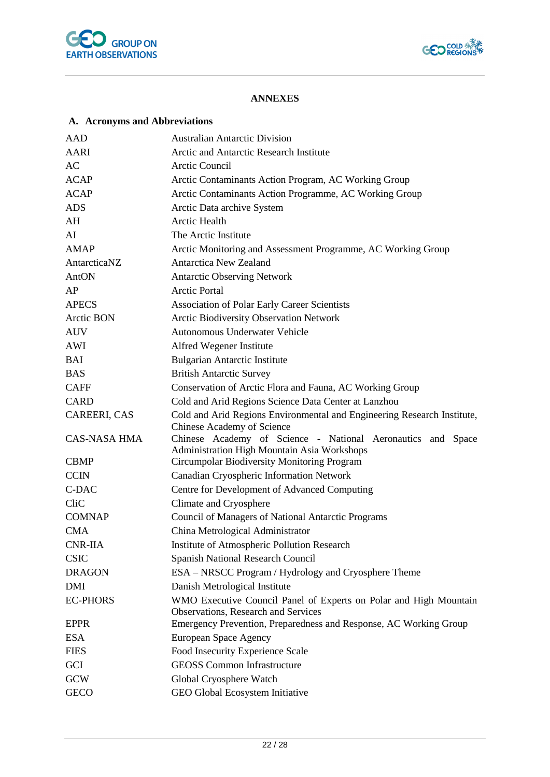



### **ANNEXES**

# <span id="page-21-1"></span><span id="page-21-0"></span>**A. Acronyms and Abbreviations**

| AAD                                                                                  | <b>Australian Antarctic Division</b>                                                                       |  |  |  |  |  |
|--------------------------------------------------------------------------------------|------------------------------------------------------------------------------------------------------------|--|--|--|--|--|
| <b>AARI</b>                                                                          | Arctic and Antarctic Research Institute                                                                    |  |  |  |  |  |
| $\mathbf{A}\mathbf{C}$                                                               | <b>Arctic Council</b>                                                                                      |  |  |  |  |  |
| <b>ACAP</b>                                                                          | Arctic Contaminants Action Program, AC Working Group                                                       |  |  |  |  |  |
| <b>ACAP</b>                                                                          | Arctic Contaminants Action Programme, AC Working Group                                                     |  |  |  |  |  |
| <b>ADS</b>                                                                           | Arctic Data archive System                                                                                 |  |  |  |  |  |
| AH                                                                                   | <b>Arctic Health</b>                                                                                       |  |  |  |  |  |
| AI                                                                                   | The Arctic Institute                                                                                       |  |  |  |  |  |
| <b>AMAP</b>                                                                          | Arctic Monitoring and Assessment Programme, AC Working Group                                               |  |  |  |  |  |
| <b>Antarctica New Zealand</b><br>AntarcticaNZ                                        |                                                                                                            |  |  |  |  |  |
| AntON                                                                                | <b>Antarctic Observing Network</b>                                                                         |  |  |  |  |  |
| AP                                                                                   | <b>Arctic Portal</b>                                                                                       |  |  |  |  |  |
| <b>APECS</b>                                                                         | <b>Association of Polar Early Career Scientists</b>                                                        |  |  |  |  |  |
| Arctic BON                                                                           | <b>Arctic Biodiversity Observation Network</b>                                                             |  |  |  |  |  |
| <b>AUV</b>                                                                           | Autonomous Underwater Vehicle                                                                              |  |  |  |  |  |
| AWI                                                                                  | Alfred Wegener Institute                                                                                   |  |  |  |  |  |
| BAI                                                                                  | <b>Bulgarian Antarctic Institute</b>                                                                       |  |  |  |  |  |
| <b>BAS</b>                                                                           | <b>British Antarctic Survey</b>                                                                            |  |  |  |  |  |
| <b>CAFF</b>                                                                          | Conservation of Arctic Flora and Fauna, AC Working Group                                                   |  |  |  |  |  |
| <b>CARD</b>                                                                          | Cold and Arid Regions Science Data Center at Lanzhou                                                       |  |  |  |  |  |
| CAREERI, CAS                                                                         | Cold and Arid Regions Environmental and Engineering Research Institute,<br>Chinese Academy of Science      |  |  |  |  |  |
| <b>CAS-NASA HMA</b>                                                                  | Chinese Academy of Science - National Aeronautics and Space<br>Administration High Mountain Asia Workshops |  |  |  |  |  |
| <b>CBMP</b>                                                                          | Circumpolar Biodiversity Monitoring Program                                                                |  |  |  |  |  |
| <b>CCIN</b>                                                                          | Canadian Cryospheric Information Network                                                                   |  |  |  |  |  |
| C-DAC                                                                                | Centre for Development of Advanced Computing                                                               |  |  |  |  |  |
| CliC                                                                                 | Climate and Cryosphere                                                                                     |  |  |  |  |  |
| <b>COMNAP</b>                                                                        | Council of Managers of National Antarctic Programs                                                         |  |  |  |  |  |
| <b>CMA</b>                                                                           | China Metrological Administrator                                                                           |  |  |  |  |  |
| <b>CNR-IIA</b>                                                                       | Institute of Atmospheric Pollution Research                                                                |  |  |  |  |  |
| <b>CSIC</b>                                                                          | Spanish National Research Council                                                                          |  |  |  |  |  |
| <b>DRAGON</b>                                                                        | ESA – NRSCC Program / Hydrology and Cryosphere Theme                                                       |  |  |  |  |  |
| <b>DMI</b>                                                                           | Danish Metrological Institute                                                                              |  |  |  |  |  |
| <b>EC-PHORS</b><br>WMO Executive Council Panel of Experts on Polar and High Mountain |                                                                                                            |  |  |  |  |  |
|                                                                                      | Observations, Research and Services                                                                        |  |  |  |  |  |
| <b>EPPR</b>                                                                          | Emergency Prevention, Preparedness and Response, AC Working Group                                          |  |  |  |  |  |
| <b>ESA</b>                                                                           | European Space Agency                                                                                      |  |  |  |  |  |
| <b>FIES</b>                                                                          | Food Insecurity Experience Scale                                                                           |  |  |  |  |  |
| GCI                                                                                  | <b>GEOSS Common Infrastructure</b>                                                                         |  |  |  |  |  |
| <b>GCW</b>                                                                           | Global Cryosphere Watch                                                                                    |  |  |  |  |  |
| <b>GECO</b>                                                                          | GEO Global Ecosystem Initiative                                                                            |  |  |  |  |  |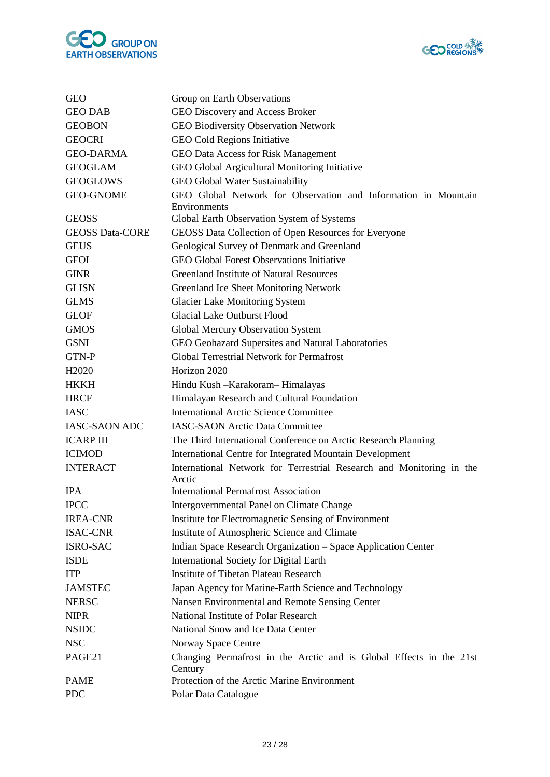



| <b>GEO</b>             | Group on Earth Observations                                                    |
|------------------------|--------------------------------------------------------------------------------|
| <b>GEO DAB</b>         | GEO Discovery and Access Broker                                                |
| <b>GEOBON</b>          | <b>GEO Biodiversity Observation Network</b>                                    |
| <b>GEOCRI</b>          | GEO Cold Regions Initiative                                                    |
| <b>GEO-DARMA</b>       | GEO Data Access for Risk Management                                            |
| <b>GEOGLAM</b>         | GEO Global Argicultural Monitoring Initiative                                  |
| <b>GEOGLOWS</b>        | GEO Global Water Sustainability                                                |
| <b>GEO-GNOME</b>       | GEO Global Network for Observation and Information in Mountain                 |
|                        | Environments                                                                   |
| <b>GEOSS</b>           | Global Earth Observation System of Systems                                     |
| <b>GEOSS Data-CORE</b> | GEOSS Data Collection of Open Resources for Everyone                           |
| <b>GEUS</b>            | Geological Survey of Denmark and Greenland                                     |
| <b>GFOI</b>            | <b>GEO Global Forest Observations Initiative</b>                               |
| <b>GINR</b>            | <b>Greenland Institute of Natural Resources</b>                                |
| <b>GLISN</b>           | Greenland Ice Sheet Monitoring Network                                         |
| <b>GLMS</b>            | <b>Glacier Lake Monitoring System</b>                                          |
| <b>GLOF</b>            | <b>Glacial Lake Outburst Flood</b>                                             |
| <b>GMOS</b>            | Global Mercury Observation System                                              |
| <b>GSNL</b>            | GEO Geohazard Supersites and Natural Laboratories                              |
| GTN-P                  | <b>Global Terrestrial Network for Permafrost</b>                               |
| H <sub>2</sub> 020     | Horizon 2020                                                                   |
| <b>HKKH</b>            | Hindu Kush - Karakoram - Himalayas                                             |
| <b>HRCF</b>            | Himalayan Research and Cultural Foundation                                     |
| <b>IASC</b>            | <b>International Arctic Science Committee</b>                                  |
| <b>IASC-SAON ADC</b>   | <b>IASC-SAON Arctic Data Committee</b>                                         |
| <b>ICARP III</b>       | The Third International Conference on Arctic Research Planning                 |
| <b>ICIMOD</b>          | <b>International Centre for Integrated Mountain Development</b>                |
| <b>INTERACT</b>        | International Network for Terrestrial Research and Monitoring in the<br>Arctic |
| <b>IPA</b>             | <b>International Permafrost Association</b>                                    |
| <b>IPCC</b>            | Intergovernmental Panel on Climate Change                                      |
| <b>IREA-CNR</b>        | Institute for Electromagnetic Sensing of Environment                           |
| <b>ISAC-CNR</b>        | Institute of Atmospheric Science and Climate                                   |
| ISRO-SAC               | Indian Space Research Organization - Space Application Center                  |
| <b>ISDE</b>            | <b>International Society for Digital Earth</b>                                 |
| <b>ITP</b>             | <b>Institute of Tibetan Plateau Research</b>                                   |
| <b>JAMSTEC</b>         | Japan Agency for Marine-Earth Science and Technology                           |
| <b>NERSC</b>           | Nansen Environmental and Remote Sensing Center                                 |
| <b>NIPR</b>            | National Institute of Polar Research                                           |
| <b>NSIDC</b>           | National Snow and Ice Data Center                                              |
| <b>NSC</b>             | Norway Space Centre                                                            |
| PAGE21                 | Changing Permafrost in the Arctic and is Global Effects in the 21st<br>Century |
| <b>PAME</b>            | Protection of the Arctic Marine Environment                                    |
| <b>PDC</b>             | Polar Data Catalogue                                                           |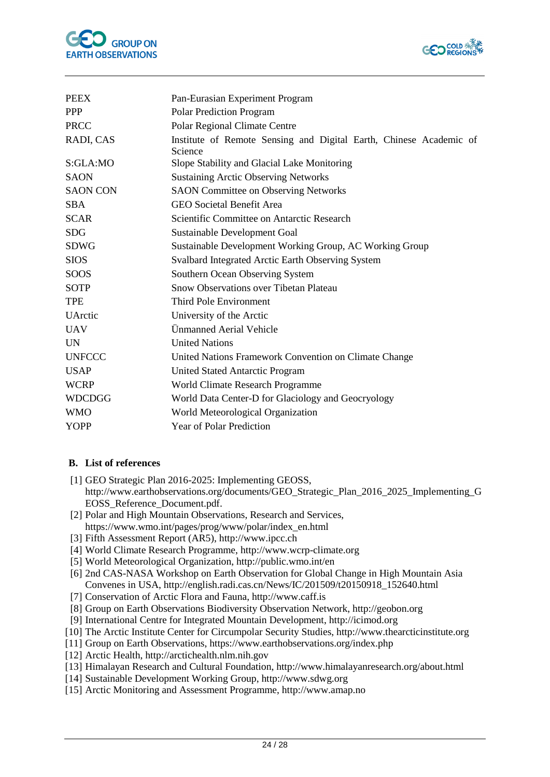



| <b>PEEX</b>     | Pan-Eurasian Experiment Program                                               |  |  |  |  |  |  |
|-----------------|-------------------------------------------------------------------------------|--|--|--|--|--|--|
| <b>PPP</b>      | <b>Polar Prediction Program</b>                                               |  |  |  |  |  |  |
| <b>PRCC</b>     | Polar Regional Climate Centre                                                 |  |  |  |  |  |  |
| RADI, CAS       | Institute of Remote Sensing and Digital Earth, Chinese Academic of<br>Science |  |  |  |  |  |  |
| S:GLA:MO        | Slope Stability and Glacial Lake Monitoring                                   |  |  |  |  |  |  |
| <b>SAON</b>     | <b>Sustaining Arctic Observing Networks</b>                                   |  |  |  |  |  |  |
| <b>SAON CON</b> | <b>SAON</b> Committee on Observing Networks                                   |  |  |  |  |  |  |
| <b>SBA</b>      | <b>GEO Societal Benefit Area</b>                                              |  |  |  |  |  |  |
| <b>SCAR</b>     | Scientific Committee on Antarctic Research                                    |  |  |  |  |  |  |
| <b>SDG</b>      | Sustainable Development Goal                                                  |  |  |  |  |  |  |
| <b>SDWG</b>     | Sustainable Development Working Group, AC Working Group                       |  |  |  |  |  |  |
| <b>SIOS</b>     | Svalbard Integrated Arctic Earth Observing System                             |  |  |  |  |  |  |
| SOOS            | Southern Ocean Observing System                                               |  |  |  |  |  |  |
| <b>SOTP</b>     | <b>Snow Observations over Tibetan Plateau</b>                                 |  |  |  |  |  |  |
| <b>TPE</b>      | Third Pole Environment                                                        |  |  |  |  |  |  |
| <b>UArctic</b>  | University of the Arctic                                                      |  |  |  |  |  |  |
| <b>UAV</b>      | Ünmanned Aerial Vehicle                                                       |  |  |  |  |  |  |
| <b>UN</b>       | <b>United Nations</b>                                                         |  |  |  |  |  |  |
| <b>UNFCCC</b>   | United Nations Framework Convention on Climate Change                         |  |  |  |  |  |  |
| <b>USAP</b>     | United Stated Antarctic Program                                               |  |  |  |  |  |  |
| <b>WCRP</b>     | World Climate Research Programme                                              |  |  |  |  |  |  |
| <b>WDCDGG</b>   | World Data Center-D for Glaciology and Geocryology                            |  |  |  |  |  |  |
| <b>WMO</b>      | World Meteorological Organization                                             |  |  |  |  |  |  |
| <b>YOPP</b>     | Year of Polar Prediction                                                      |  |  |  |  |  |  |

#### <span id="page-23-0"></span>**B. List of references**

- [1] GEO Strategic Plan 2016-2025: Implementing GEOSS, http://www.earthobservations.org/documents/GEO\_Strategic\_Plan\_2016\_2025\_Implementing\_G EOSS\_Reference\_Document.pdf.
- [2] Polar and High Mountain Observations, Research and Services, https://www.wmo.int/pages/prog/www/polar/index\_en.html
- [3] Fifth Assessment Report (AR5), http://www.ipcc.ch
- [4] World Climate Research Programme, http://www.wcrp-climate.org
- [5] World Meteorological Organization, http://public.wmo.int/en
- [6] 2nd CAS-NASA Workshop on Earth Observation for Global Change in High Mountain Asia Convenes in USA, http://english.radi.cas.cn/News/IC/201509/t20150918\_152640.html
- [7] Conservation of Arctic Flora and Fauna, http://www.caff.is
- [8] Group on Earth Observations Biodiversity Observation Network, http://geobon.org
- [9] International Centre for Integrated Mountain Development, http://icimod.org
- [10] The Arctic Institute Center for Circumpolar Security Studies, http://www.thearcticinstitute.org
- [11] Group on Earth Observations, https://www.earthobservations.org/index.php
- [12] Arctic Health, http://arctichealth.nlm.nih.gov
- [13] Himalayan Research and Cultural Foundation, http://www.himalayanresearch.org/about.html
- [14] Sustainable Development Working Group, http://www.sdwg.org
- [15] Arctic Monitoring and Assessment Programme, http://www.amap.no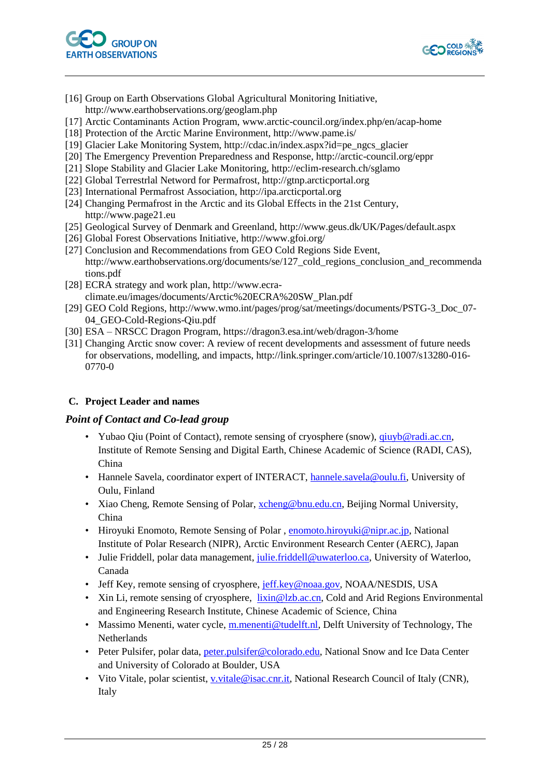



- [16] Group on Earth Observations Global Agricultural Monitoring Initiative, http://www.earthobservations.org/geoglam.php
- [17] Arctic Contaminants Action Program, www.arctic-council.org/index.php/en/acap-home
- [18] Protection of the Arctic Marine Environment, http://www.pame.is/
- [19] Glacier Lake Monitoring System, http://cdac.in/index.aspx?id=pe\_ngcs\_glacier
- [20] The Emergency Prevention Preparedness and Response, http://arctic-council.org/eppr
- [21] Slope Stability and Glacier Lake Monitoring, http://eclim-research.ch/sglamo
- [22] Global Terrestrlal Netword for Permafrost, http://gtnp.arcticportal.org
- [23] International Permafrost Association, http://ipa.arcticportal.org
- [24] Changing Permafrost in the Arctic and its Global Effects in the 21st Century, http://www.page21.eu
- [25] Geological Survey of Denmark and Greenland, http://www.geus.dk/UK/Pages/default.aspx
- [26] Global Forest Observations Initiative, http://www.gfoi.org/
- [27] Conclusion and Recommendations from GEO Cold Regions Side Event, http://www.earthobservations.org/documents/se/127\_cold\_regions\_conclusion\_and\_recommenda
- tions.pdf
- [28] ECRA strategy and work plan, http://www.ecra-
- climate.eu/images/documents/Arctic%20ECRA%20SW\_Plan.pdf
- [29] GEO Cold Regions, http://www.wmo.int/pages/prog/sat/meetings/documents/PSTG-3\_Doc\_07- 04\_GEO-Cold-Regions-Qiu.pdf
- [30] ESA NRSCC Dragon Program, https://dragon3.esa.int/web/dragon-3/home
- [31] Changing Arctic snow cover: A review of recent developments and assessment of future needs for observations, modelling, and impacts, http://link.springer.com/article/10.1007/s13280-016- 0770-0

#### <span id="page-24-0"></span>**C. Project Leader and names**

#### *Point of Contact and Co-lead group*

- Yubao Qiu (Point of Contact), remote sensing of cryosphere (snow),  $q$ iuyb@radi.ac.cn, Institute of Remote Sensing and Digital Earth, Chinese Academic of Science (RADI, CAS), China
- Hannele Savela, coordinator expert of INTERACT, [hannele.savela@oulu.fi,](mailto:hannele.savela@oulu.fi) University of Oulu, Finland
- Xiao Cheng, Remote Sensing of Polar, [xcheng@bnu.edu.cn,](mailto:xcheng@bnu.edu.cn) Beijing Normal University, China
- Hiroyuki Enomoto, Remote Sensing of Polar, [enomoto.hiroyuki@nipr.ac.jp,](mailto:enomoto.hiroyuki@nipr.ac.jp) National Institute of Polar Research (NIPR), Arctic Environment Research Center (AERC), Japan
- Julie Friddell, polar data management, [julie.friddell@uwaterloo.ca,](mailto:julie.friddell@uwaterloo.ca) University of Waterloo, Canada
- Jeff Key, remote sensing of cryosphere, [jeff.key@noaa.gov,](mailto:jeff.key@noaa.gov) NOAA/NESDIS, USA
- Xin Li, remote sensing of cryosphere,  $\lim_{n \to \infty} \mathbb{Q}[\log n]$  and Arid Regions Environmental and Engineering Research Institute, Chinese Academic of Science, China
- Massimo Menenti, water cycle, [m.menenti@tudelft.nl,](mailto:m.menenti@tudelft.nl) Delft University of Technology, The Netherlands
- Peter Pulsifer, polar data, [peter.pulsifer@colorado.edu,](mailto:peter.pulsifer@colorado.edu) National Snow and Ice Data Center and University of Colorado at Boulder, USA
- Vito Vitale, polar scientist, v. vitale@isac.cnr.it, National Research Council of Italy (CNR), Italy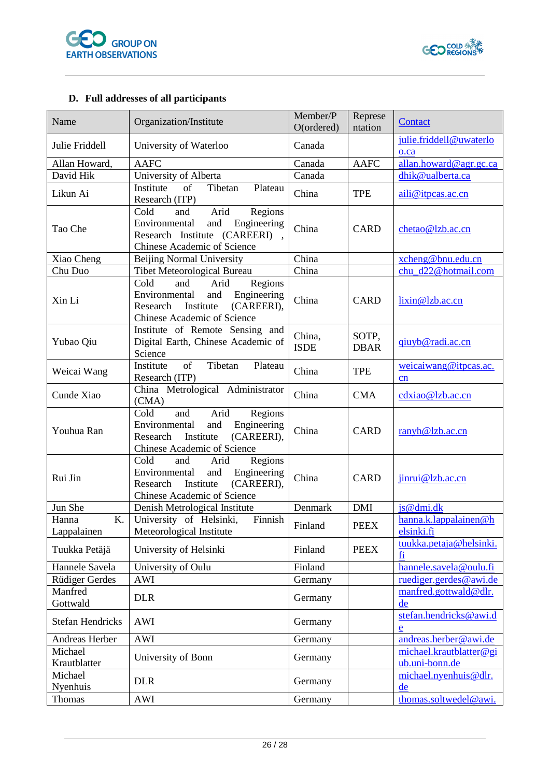



# <span id="page-25-0"></span>**D. Full addresses of all participants**

| Name                      | Organization/Institute                                                                                                                      | Member/P<br>O(ordered) | Represe<br>ntation   | Contact                                   |
|---------------------------|---------------------------------------------------------------------------------------------------------------------------------------------|------------------------|----------------------|-------------------------------------------|
| Julie Friddell            | University of Waterloo                                                                                                                      | Canada                 |                      | julie.friddell@uwaterlo<br>$0$ . $ca$     |
| Allan Howard,             | <b>AAFC</b>                                                                                                                                 | Canada                 | <b>AAFC</b>          | allan.howard@agr.gc.ca                    |
| David Hik                 | University of Alberta                                                                                                                       | Canada                 |                      | dhik@ualberta.ca                          |
| Likun Ai                  | of<br>Tibetan<br>Institute<br>Plateau<br>Research (ITP)                                                                                     | China                  | <b>TPE</b>           | aili@itpcas.ac.cn                         |
| Tao Che                   | Cold<br>Arid<br>Regions<br>and<br>and<br>Engineering<br>Environmental<br>Research Institute (CAREERI),<br>Chinese Academic of Science       | China                  | <b>CARD</b>          | chetao@lzb.ac.cn                          |
| Xiao Cheng                | <b>Beijing Normal University</b>                                                                                                            | China                  |                      | xcheng@bnu.edu.cn                         |
| Chu Duo                   | Tibet Meteorological Bureau                                                                                                                 | China                  |                      | chu_d22@hotmail.com                       |
| Xin Li                    | Cold<br>Arid<br>Regions<br>and<br>Engineering<br>Environmental<br>and<br>(CAREERI),<br>Institute<br>Research<br>Chinese Academic of Science | China                  | <b>CARD</b>          | lixin@lzb.ac.cn                           |
| Yubao Qiu                 | Institute of Remote Sensing and<br>Digital Earth, Chinese Academic of<br>Science                                                            | China,<br><b>ISDE</b>  | SOTP,<br><b>DBAR</b> | giuyb@radi.ac.cn                          |
| Weicai Wang               | of<br>Tibetan<br>Institute<br>Plateau<br>Research (ITP)                                                                                     | China                  | <b>TPE</b>           | weicaiwang@itpcas.ac.<br>cn               |
| Cunde Xiao                | China Metrological Administrator<br>(CMA)                                                                                                   | China                  | <b>CMA</b>           | cdxiao@lzb.ac.cn                          |
| Youhua Ran                | Cold<br>Arid<br>Regions<br>and<br>Environmental<br>and<br>Engineering<br>Research<br>Institute<br>(CAREERI),<br>Chinese Academic of Science | China                  | <b>CARD</b>          | ranyh@lzb.ac.cn                           |
| Rui Jin                   | Cold<br>Arid<br>Regions<br>and<br>Engineering<br>Environmental<br>and<br>(CAREERI),<br>Research<br>Institute<br>Chinese Academic of Science | China                  | <b>CARD</b>          | jinrui@lzb.ac.cn                          |
| Jun She                   | Denish Metrological Institute                                                                                                               | Denmark                | <b>DMI</b>           | js@dmi.dk                                 |
| K<br>Hanna<br>Lappalainen | University of Helsinki,<br>Finnish<br>Meteorological Institute                                                                              | Finland                | <b>PEEX</b>          | hanna.k.lappalainen@h<br>elsinki.fi       |
| Tuukka Petäjä             | University of Helsinki                                                                                                                      | Finland                | <b>PEEX</b>          | tuukka.petaja@helsinki.<br>fi             |
| Hannele Savela            | University of Oulu                                                                                                                          | Finland                |                      | hannele.savela@oulu.fi                    |
| Rüdiger Gerdes            | AWI                                                                                                                                         | Germany                |                      | ruediger.gerdes@awi.de                    |
| Manfred<br>Gottwald       | <b>DLR</b>                                                                                                                                  | Germany                |                      | manfred.gottwald@dlr.<br>de               |
| <b>Stefan Hendricks</b>   | AWI                                                                                                                                         | Germany                |                      | stefan.hendricks@awi.d<br>$\mathbf{e}$    |
| Andreas Herber            | <b>AWI</b>                                                                                                                                  | Germany                |                      | andreas.herber@awi.de                     |
| Michael<br>Krautblatter   | University of Bonn                                                                                                                          | Germany                |                      | michael.krautblatter@gi<br>ub.uni-bonn.de |
| Michael<br>Nyenhuis       | <b>DLR</b>                                                                                                                                  | Germany                |                      | michael.nyenhuis@dlr.<br>de               |
| Thomas                    | <b>AWI</b>                                                                                                                                  | Germany                |                      | thomas.soltwedel@awi.                     |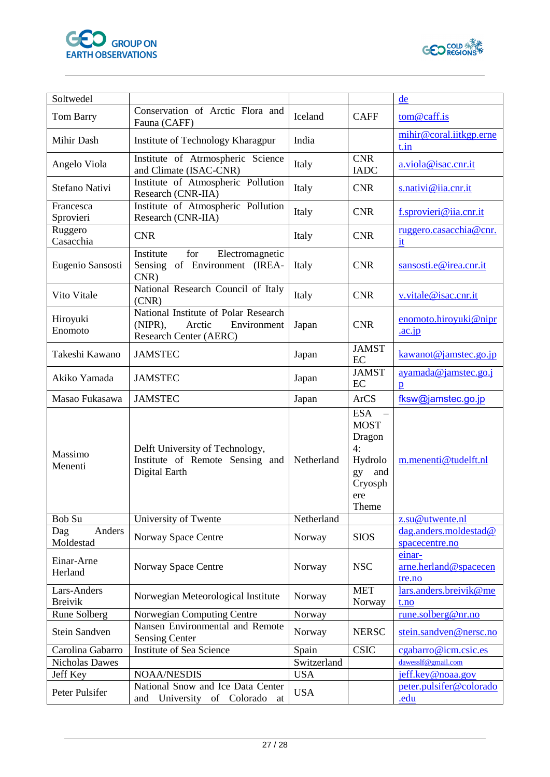



| Soltwedel                     |                                                                                                       |             |                                                                                              | de                                        |
|-------------------------------|-------------------------------------------------------------------------------------------------------|-------------|----------------------------------------------------------------------------------------------|-------------------------------------------|
| Tom Barry                     | Conservation of Arctic Flora and<br>Fauna (CAFF)                                                      | Iceland     | <b>CAFF</b>                                                                                  | tom@caff.is                               |
| Mihir Dash                    | Institute of Technology Kharagpur                                                                     | India       |                                                                                              | mihir@coral.iitkgp.erne<br>t.in           |
| Angelo Viola                  | Institute of Atrmospheric Science<br>and Climate (ISAC-CNR)                                           | Italy       | <b>CNR</b><br><b>IADC</b>                                                                    | a.viola@isac.cnr.it                       |
| Stefano Nativi                | Institute of Atmospheric Pollution<br>Research (CNR-IIA)                                              | Italy       | <b>CNR</b>                                                                                   | s.nativi@iia.cnr.it                       |
| Francesca<br>Sprovieri        | Institute of Atmospheric Pollution<br>Research (CNR-IIA)                                              | Italy       | <b>CNR</b>                                                                                   | f.sprovieri@iia.cnr.it                    |
| Ruggero<br>Casacchia          | <b>CNR</b>                                                                                            | Italy       | <b>CNR</b>                                                                                   | ruggero.casacchia@cnr.<br>it              |
| Eugenio Sansosti              | Institute<br>for<br>Electromagnetic<br>Sensing of Environment (IREA-<br>CNR                           | Italy       | <b>CNR</b>                                                                                   | sansosti.e@irea.cnr.it                    |
| Vito Vitale                   | National Research Council of Italy<br>(CNR)                                                           | Italy       | <b>CNR</b>                                                                                   | v.vitale@isac.cnr.it                      |
| Hiroyuki<br>Enomoto           | National Institute of Polar Research<br>$(NIPR)$ ,<br>Arctic<br>Environment<br>Research Center (AERC) | Japan       | <b>CNR</b>                                                                                   | enomoto.hiroyuki@nipr<br>$\cdot$ ac.jp    |
| Takeshi Kawano                | <b>JAMSTEC</b>                                                                                        | Japan       | <b>JAMST</b><br>EC                                                                           | kawanot@jamstec.go.jp                     |
| Akiko Yamada                  | <b>JAMSTEC</b>                                                                                        | Japan       | <b>JAMST</b><br>EC                                                                           | ayamada@jamstec.go.j<br>$\mathbf{D}$      |
| Masao Fukasawa                | <b>JAMSTEC</b>                                                                                        | Japan       | <b>ArCS</b>                                                                                  | fksw@jamstec.go.jp                        |
| Massimo<br>Menenti            | Delft University of Technology,<br>Institute of Remote Sensing and<br>Digital Earth                   | Netherland  | <b>ESA</b><br><b>MOST</b><br>Dragon<br>4:<br>Hydrolo<br>gy<br>and<br>Cryosph<br>ere<br>Theme | m.menenti@tudelft.nl                      |
| Bob Su                        | University of Twente                                                                                  | Netherland  |                                                                                              | z.su@utwente.nl                           |
| Anders<br>Dag<br>Moldestad    | Norway Space Centre                                                                                   | Norway      | <b>SIOS</b>                                                                                  | dag.anders.moldestad@<br>spacecentre.no   |
| Einar-Arne<br>Herland         | Norway Space Centre                                                                                   | Norway      | <b>NSC</b>                                                                                   | einar-<br>arne.herland@spacecen<br>tre.no |
| Lars-Anders<br><b>Breivik</b> | Norwegian Meteorological Institute                                                                    | Norway      | <b>MET</b><br>Norway                                                                         | lars.anders.breivik@me<br>t.no            |
| Rune Solberg                  | Norwegian Computing Centre                                                                            | Norway      |                                                                                              | rune.solberg@nr.no                        |
| Stein Sandven                 | Nansen Environmental and Remote<br><b>Sensing Center</b>                                              | Norway      | <b>NERSC</b>                                                                                 | stein.sandven@nersc.no                    |
| Carolina Gabarro              | Institute of Sea Science                                                                              | Spain       | <b>CSIC</b>                                                                                  | cgabarro@icm.csic.es                      |
| <b>Nicholas Dawes</b>         |                                                                                                       | Switzerland |                                                                                              | dawesslf@gmail.com                        |
| Jeff Key                      | <b>NOAA/NESDIS</b>                                                                                    | <b>USA</b>  |                                                                                              | jeff.key@noaa.gov                         |
| Peter Pulsifer                | National Snow and Ice Data Center<br>University of Colorado<br>and<br>at                              | <b>USA</b>  |                                                                                              | peter.pulsifer@colorado<br>.edu           |